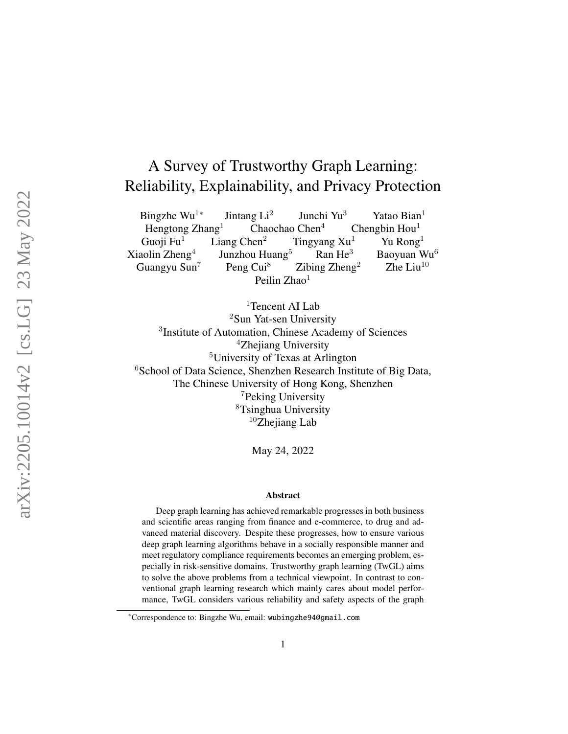# A Survey of Trustworthy Graph Learning: Reliability, Explainability, and Privacy Protection

Bingzhe Wu<sup>1</sup>  $*$  Jintang Li<sup>2</sup> Junchi Yu <sup>3</sup> Yatao Bian<sup>1</sup> Hengtong Zhang<sup>1</sup> Chaochao Chen<sup>4</sup>  $4$  Chengbin Hou<sup>1</sup> Guoji Fu Liang Chen $<sup>2</sup>$ </sup> Tingyang  $Xu<sup>1</sup>$ <sup>1</sup> Yu Rong<sup>1</sup> Xiaolin Zheng 4 Junzhou Huang<sup>5</sup>  $Ran He<sup>3</sup>$  $3$  Baoyuan Wu<sup>6</sup> Guangyu Sun Peng Cui<sup>8</sup> Zibing  $Zheng<sup>2</sup>$ Zhe Liu $^{10}$ Peilin Zhao<sup>1</sup>

<sup>1</sup>Tencent AI Lab <sup>2</sup>Sun Yat-sen University <sup>3</sup>Institute of Automation, Chinese Academy of Sciences <sup>4</sup>Zhejiang University <sup>5</sup>University of Texas at Arlington <sup>6</sup>School of Data Science, Shenzhen Research Institute of Big Data, The Chinese University of Hong Kong, Shenzhen <sup>7</sup>Peking University <sup>8</sup>Tsinghua University  $10$ Zhejiang Lab

May 24, 2022

#### Abstract

Deep graph learning has achieved remarkable progresses in both business and scientific areas ranging from finance and e-commerce, to drug and advanced material discovery. Despite these progresses, how to ensure various deep graph learning algorithms behave in a socially responsible manner and meet regulatory compliance requirements becomes an emerging problem, especially in risk-sensitive domains. Trustworthy graph learning (TwGL) aims to solve the above problems from a technical viewpoint. In contrast to conventional graph learning research which mainly cares about model performance, TwGL considers various reliability and safety aspects of the graph

<sup>\*</sup>Correspondence to: Bingzhe Wu, email: wubingzhe94@gmail.com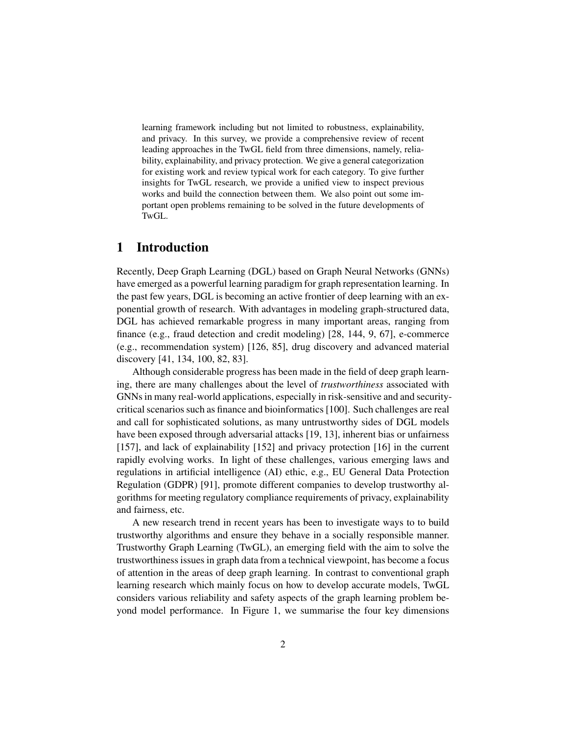learning framework including but not limited to robustness, explainability, and privacy. In this survey, we provide a comprehensive review of recent leading approaches in the TwGL field from three dimensions, namely, reliability, explainability, and privacy protection. We give a general categorization for existing work and review typical work for each category. To give further insights for TwGL research, we provide a unified view to inspect previous works and build the connection between them. We also point out some important open problems remaining to be solved in the future developments of TwGL.

## 1 Introduction

Recently, Deep Graph Learning (DGL) based on Graph Neural Networks (GNNs) have emerged as a powerful learning paradigm for graph representation learning. In the past few years, DGL is becoming an active frontier of deep learning with an exponential growth of research. With advantages in modeling graph-structured data, DGL has achieved remarkable progress in many important areas, ranging from finance (e.g., fraud detection and credit modeling) [\[28,](#page-38-0) [144,](#page-50-0) [9,](#page-36-0) [67\]](#page-42-0), e-commerce (e.g., recommendation system) [\[126,](#page-48-0) [85\]](#page-44-0), drug discovery and advanced material discovery [\[41,](#page-40-0) [134,](#page-49-0) [100,](#page-46-0) [82,](#page-44-1) [83\]](#page-44-2).

Although considerable progress has been made in the field of deep graph learning, there are many challenges about the level of *trustworthiness* associated with GNNs in many real-world applications, especially in risk-sensitive and and securitycritical scenarios such as finance and bioinformatics [\[100\]](#page-46-0). Such challenges are real and call for sophisticated solutions, as many untrustworthy sides of DGL models have been exposed through adversarial attacks [\[19,](#page-37-0) [13\]](#page-37-1), inherent bias or unfairness [\[157\]](#page-51-0), and lack of explainability [\[152\]](#page-51-1) and privacy protection [\[16\]](#page-37-2) in the current rapidly evolving works. In light of these challenges, various emerging laws and regulations in artificial intelligence (AI) ethic, e.g., EU General Data Protection Regulation (GDPR) [\[91\]](#page-45-0), promote different companies to develop trustworthy algorithms for meeting regulatory compliance requirements of privacy, explainability and fairness, etc.

A new research trend in recent years has been to investigate ways to to build trustworthy algorithms and ensure they behave in a socially responsible manner. Trustworthy Graph Learning (TwGL), an emerging field with the aim to solve the trustworthiness issues in graph data from a technical viewpoint, has become a focus of attention in the areas of deep graph learning. In contrast to conventional graph learning research which mainly focus on how to develop accurate models, TwGL considers various reliability and safety aspects of the graph learning problem beyond model performance. In Figure [1,](#page-2-0) we summarise the four key dimensions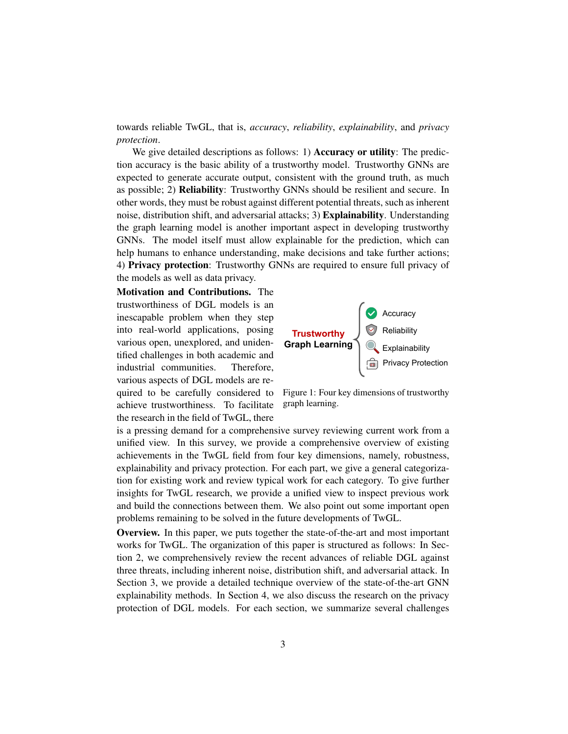towards reliable TwGL, that is, *accuracy*, *reliability*, *explainability*, and *privacy protection*.

We give detailed descriptions as follows: 1) **Accuracy or utility**: The prediction accuracy is the basic ability of a trustworthy model. Trustworthy GNNs are expected to generate accurate output, consistent with the ground truth, as much as possible; 2) Reliability: Trustworthy GNNs should be resilient and secure. In other words, they must be robust against different potential threats, such as inherent noise, distribution shift, and adversarial attacks; 3) Explainability. Understanding the graph learning model is another important aspect in developing trustworthy GNNs. The model itself must allow explainable for the prediction, which can help humans to enhance understanding, make decisions and take further actions; 4) Privacy protection: Trustworthy GNNs are required to ensure full privacy of the models as well as data privacy.

Motivation and Contributions. The trustworthiness of DGL models is an inescapable problem when they step into real-world applications, posing various open, unexplored, and unidentified challenges in both academic and industrial communities. Therefore, various aspects of DGL models are required to be carefully considered to achieve trustworthiness. To facilitate the research in the field of TwGL, there

<span id="page-2-0"></span>

Figure 1: Four key dimensions of trustworthy graph learning.

is a pressing demand for a comprehensive survey reviewing current work from a unified view. In this survey, we provide a comprehensive overview of existing achievements in the TwGL field from four key dimensions, namely, robustness, explainability and privacy protection. For each part, we give a general categorization for existing work and review typical work for each category. To give further insights for TwGL research, we provide a unified view to inspect previous work and build the connections between them. We also point out some important open problems remaining to be solved in the future developments of TwGL.

Overview. In this paper, we puts together the state-of-the-art and most important works for TwGL. The organization of this paper is structured as follows: In Section [2,](#page-3-0) we comprehensively review the recent advances of reliable DGL against three threats, including inherent noise, distribution shift, and adversarial attack. In Section [3,](#page-15-0) we provide a detailed technique overview of the state-of-the-art GNN explainability methods. In Section [4,](#page-28-0) we also discuss the research on the privacy protection of DGL models. For each section, we summarize several challenges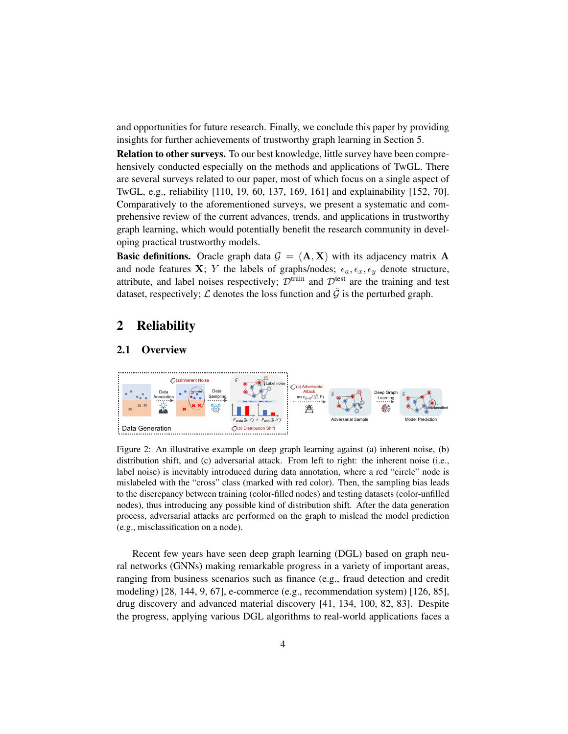and opportunities for future research. Finally, we conclude this paper by providing insights for further achievements of trustworthy graph learning in Section [5.](#page-35-0)

Relation to other surveys. To our best knowledge, little survey have been comprehensively conducted especially on the methods and applications of TwGL. There are several surveys related to our paper, most of which focus on a single aspect of TwGL, e.g., reliability [\[110,](#page-47-0) [19,](#page-37-0) [60,](#page-42-1) [137,](#page-49-1) [169,](#page-53-0) [161\]](#page-52-0) and explainability [\[152,](#page-51-1) [70\]](#page-43-0). Comparatively to the aforementioned surveys, we present a systematic and comprehensive review of the current advances, trends, and applications in trustworthy graph learning, which would potentially benefit the research community in developing practical trustworthy models.

**Basic definitions.** Oracle graph data  $\mathcal{G} = (\mathbf{A}, \mathbf{X})$  with its adjacency matrix  $\mathbf{A}$ and node features X; Y the labels of graphs/nodes;  $\epsilon_a, \epsilon_x, \epsilon_y$  denote structure, attribute, and label noises respectively;  $\mathcal{D}^{train}$  and  $\mathcal{D}^{test}$  are the training and test dataset, respectively;  $\mathcal L$  denotes the loss function and  $\hat G$  is the perturbed graph.

# <span id="page-3-0"></span>2 Reliability

#### 2.1 Overview

<span id="page-3-1"></span>

Figure 2: An illustrative example on deep graph learning against (a) inherent noise, (b) distribution shift, and (c) adversarial attack. From left to right: the inherent noise (i.e., label noise) is inevitably introduced during data annotation, where a red "circle" node is mislabeled with the "cross" class (marked with red color). Then, the sampling bias leads to the discrepancy between training (color-filled nodes) and testing datasets (color-unfilled nodes), thus introducing any possible kind of distribution shift. After the data generation process, adversarial attacks are performed on the graph to mislead the model prediction (e.g., misclassification on a node).

Recent few years have seen deep graph learning (DGL) based on graph neural networks (GNNs) making remarkable progress in a variety of important areas, ranging from business scenarios such as finance (e.g., fraud detection and credit modeling) [\[28,](#page-38-0) [144,](#page-50-0) [9,](#page-36-0) [67\]](#page-42-0), e-commerce (e.g., recommendation system) [\[126,](#page-48-0) [85\]](#page-44-0), drug discovery and advanced material discovery [\[41,](#page-40-0) [134,](#page-49-0) [100,](#page-46-0) [82,](#page-44-1) [83\]](#page-44-2). Despite the progress, applying various DGL algorithms to real-world applications faces a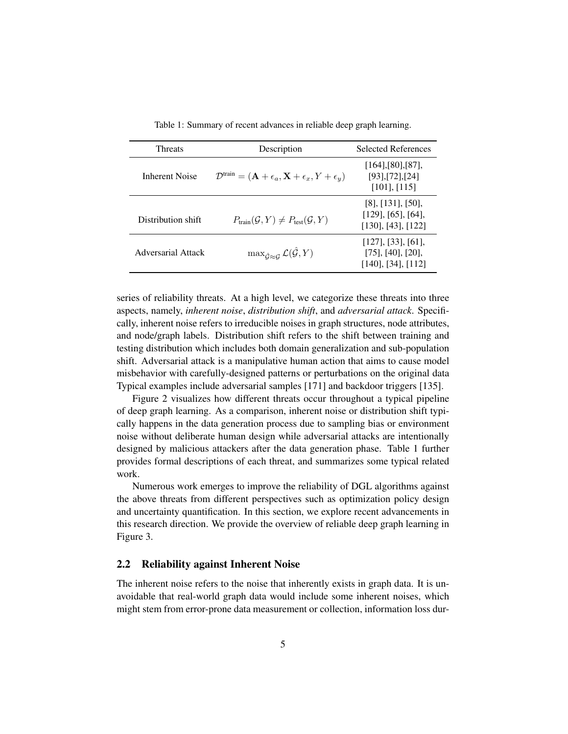<span id="page-4-0"></span>

| <b>Threats</b>     | Description                                                                                       | <b>Selected References</b>                                                     |
|--------------------|---------------------------------------------------------------------------------------------------|--------------------------------------------------------------------------------|
| Inherent Noise     | $\mathcal{D}^{\text{train}} = (\mathbf{A} + \epsilon_a, \mathbf{X} + \epsilon_x, Y + \epsilon_y)$ | $[164]$ , $[80]$ , $[87]$ ,<br>$[93]$ , $[72]$ , $[24]$<br>$[101]$ , $[115]$   |
| Distribution shift | $P_{\text{train}}(\mathcal{G}, Y) \neq P_{\text{test}}(\mathcal{G}, Y)$                           | $[8]$ , $[131]$ , $[50]$ ,<br>[129], [65], [64],<br>$[130]$ , $[43]$ , $[122]$ |
| Adversarial Attack | $\max_{\hat{G}\approx G} \mathcal{L}(\hat{\mathcal{G}}, Y)$                                       | $[127]$ , [33], [61],<br>$[75]$ , $[40]$ , $[20]$ ,<br>[140], [34], [112]      |

Table 1: Summary of recent advances in reliable deep graph learning.

series of reliability threats. At a high level, we categorize these threats into three aspects, namely, *inherent noise*, *distribution shift*, and *adversarial attack*. Specifically, inherent noise refers to irreducible noises in graph structures, node attributes, and node/graph labels. Distribution shift refers to the shift between training and testing distribution which includes both domain generalization and sub-population shift. Adversarial attack is a manipulative human action that aims to cause model misbehavior with carefully-designed patterns or perturbations on the original data Typical examples include adversarial samples [\[171\]](#page-53-1) and backdoor triggers [\[135\]](#page-49-5).

Figure [2](#page-3-1) visualizes how different threats occur throughout a typical pipeline of deep graph learning. As a comparison, inherent noise or distribution shift typically happens in the data generation process due to sampling bias or environment noise without deliberate human design while adversarial attacks are intentionally designed by malicious attackers after the data generation phase. Table [1](#page-4-0) further provides formal descriptions of each threat, and summarizes some typical related work.

Numerous work emerges to improve the reliability of DGL algorithms against the above threats from different perspectives such as optimization policy design and uncertainty quantification. In this section, we explore recent advancements in this research direction. We provide the overview of reliable deep graph learning in Figure [3.](#page-5-0)

#### 2.2 Reliability against Inherent Noise

The inherent noise refers to the noise that inherently exists in graph data. It is unavoidable that real-world graph data would include some inherent noises, which might stem from error-prone data measurement or collection, information loss dur-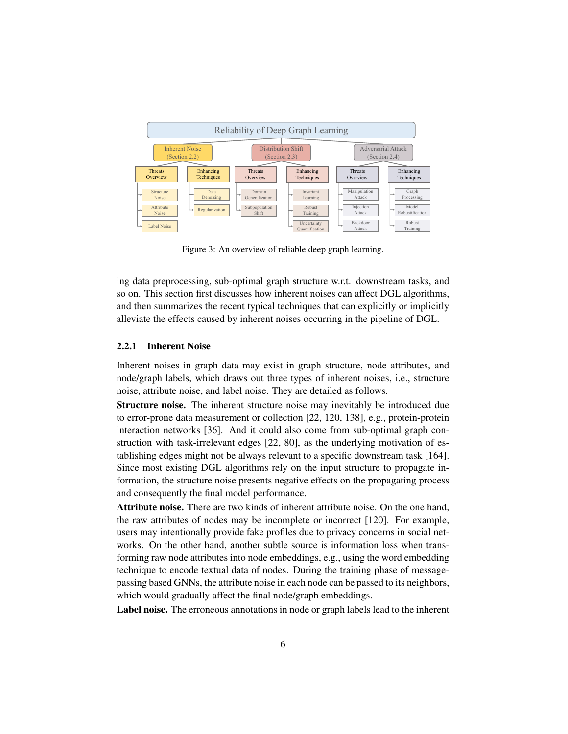<span id="page-5-0"></span>

Figure 3: An overview of reliable deep graph learning.

ing data preprocessing, sub-optimal graph structure w.r.t. downstream tasks, and so on. This section first discusses how inherent noises can affect DGL algorithms, and then summarizes the recent typical techniques that can explicitly or implicitly alleviate the effects caused by inherent noises occurring in the pipeline of DGL.

## 2.2.1 Inherent Noise

Inherent noises in graph data may exist in graph structure, node attributes, and node/graph labels, which draws out three types of inherent noises, i.e., structure noise, attribute noise, and label noise. They are detailed as follows.

Structure noise. The inherent structure noise may inevitably be introduced due to error-prone data measurement or collection [\[22,](#page-38-2) [120,](#page-48-3) [138\]](#page-50-2), e.g., protein-protein interaction networks [\[36\]](#page-39-2). And it could also come from sub-optimal graph construction with task-irrelevant edges [\[22,](#page-38-2) [80\]](#page-44-3), as the underlying motivation of establishing edges might not be always relevant to a specific downstream task [\[164\]](#page-52-1). Since most existing DGL algorithms rely on the input structure to propagate information, the structure noise presents negative effects on the propagating process and consequently the final model performance.

Attribute noise. There are two kinds of inherent attribute noise. On the one hand, the raw attributes of nodes may be incomplete or incorrect [\[120\]](#page-48-3). For example, users may intentionally provide fake profiles due to privacy concerns in social networks. On the other hand, another subtle source is information loss when transforming raw node attributes into node embeddings, e.g., using the word embedding technique to encode textual data of nodes. During the training phase of messagepassing based GNNs, the attribute noise in each node can be passed to its neighbors, which would gradually affect the final node/graph embeddings.

Label noise. The erroneous annotations in node or graph labels lead to the inherent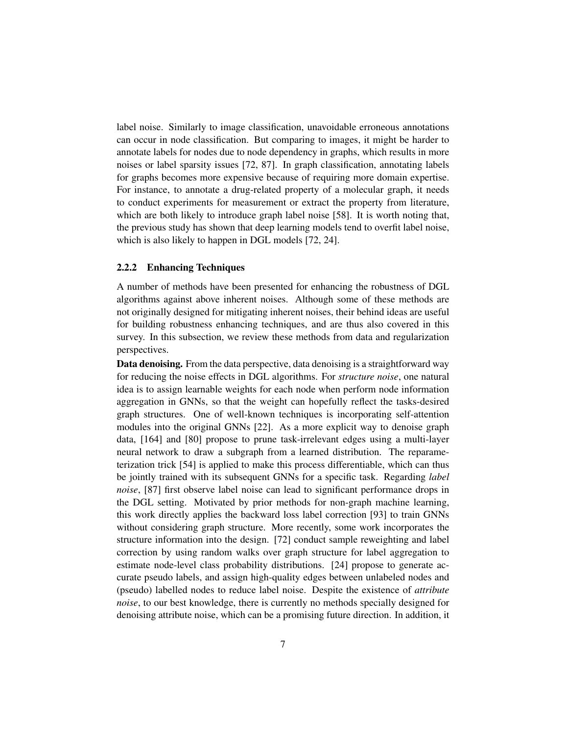label noise. Similarly to image classification, unavoidable erroneous annotations can occur in node classification. But comparing to images, it might be harder to annotate labels for nodes due to node dependency in graphs, which results in more noises or label sparsity issues [\[72,](#page-43-1) [87\]](#page-44-4). In graph classification, annotating labels for graphs becomes more expensive because of requiring more domain expertise. For instance, to annotate a drug-related property of a molecular graph, it needs to conduct experiments for measurement or extract the property from literature, which are both likely to introduce graph label noise [\[58\]](#page-42-5). It is worth noting that, the previous study has shown that deep learning models tend to overfit label noise, which is also likely to happen in DGL models [\[72,](#page-43-1) [24\]](#page-38-1).

## 2.2.2 Enhancing Techniques

A number of methods have been presented for enhancing the robustness of DGL algorithms against above inherent noises. Although some of these methods are not originally designed for mitigating inherent noises, their behind ideas are useful for building robustness enhancing techniques, and are thus also covered in this survey. In this subsection, we review these methods from data and regularization perspectives.

Data denoising. From the data perspective, data denoising is a straightforward way for reducing the noise effects in DGL algorithms. For *structure noise*, one natural idea is to assign learnable weights for each node when perform node information aggregation in GNNs, so that the weight can hopefully reflect the tasks-desired graph structures. One of well-known techniques is incorporating self-attention modules into the original GNNs [\[22\]](#page-38-2). As a more explicit way to denoise graph data, [\[164\]](#page-52-1) and [\[80\]](#page-44-3) propose to prune task-irrelevant edges using a multi-layer neural network to draw a subgraph from a learned distribution. The reparameterization trick [\[54\]](#page-41-1) is applied to make this process differentiable, which can thus be jointly trained with its subsequent GNNs for a specific task. Regarding *label noise*, [\[87\]](#page-44-4) first observe label noise can lead to significant performance drops in the DGL setting. Motivated by prior methods for non-graph machine learning, this work directly applies the backward loss label correction [\[93\]](#page-45-1) to train GNNs without considering graph structure. More recently, some work incorporates the structure information into the design. [\[72\]](#page-43-1) conduct sample reweighting and label correction by using random walks over graph structure for label aggregation to estimate node-level class probability distributions. [\[24\]](#page-38-1) propose to generate accurate pseudo labels, and assign high-quality edges between unlabeled nodes and (pseudo) labelled nodes to reduce label noise. Despite the existence of *attribute noise*, to our best knowledge, there is currently no methods specially designed for denoising attribute noise, which can be a promising future direction. In addition, it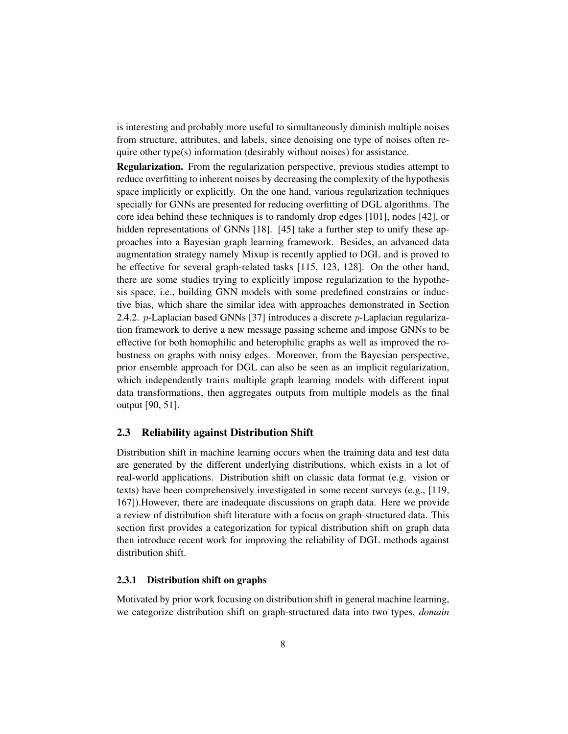is interesting and probably more useful to simultaneously diminish multiple noises from structure, attributes, and labels, since denoising one type of noises often require other type(s) information (desirably without noises) for assistance.

Regularization. From the regularization perspective, previous studies attempt to reduce overfitting to inherent noises by decreasing the complexity of the hypothesis space implicitly or explicitly. On the one hand, various regularization techniques specially for GNNs are presented for reducing overfitting of DGL algorithms. The core idea behind these techniques is to randomly drop edges [\[101\]](#page-46-1), nodes [\[42\]](#page-40-3), or hidden representations of GNNs [\[18\]](#page-37-4). [\[45\]](#page-40-4) take a further step to unify these approaches into a Bayesian graph learning framework. Besides, an advanced data augmentation strategy namely Mixup is recently applied to DGL and is proved to be effective for several graph-related tasks [\[115,](#page-47-1) [123,](#page-48-4) [128\]](#page-49-6). On the other hand, there are some studies trying to explicitly impose regularization to the hypothesis space, i.e., building GNN models with some predefined constrains or inductive bias, which share the similar idea with approaches demonstrated in Section [2.4.2.](#page-11-0) *p*-Laplacian based GNNs [\[37\]](#page-39-3) introduces a discrete *p*-Laplacian regularization framework to derive a new message passing scheme and impose GNNs to be effective for both homophilic and heterophilic graphs as well as improved the robustness on graphs with noisy edges. Moreover, from the Bayesian perspective, prior ensemble approach for DGL can also be seen as an implicit regularization, which independently trains multiple graph learning models with different input data transformations, then aggregates outputs from multiple models as the final output [\[90,](#page-45-2) [51\]](#page-41-2).

## 2.3 Reliability against Distribution Shift

Distribution shift in machine learning occurs when the training data and test data are generated by the different underlying distributions, which exists in a lot of real-world applications. Distribution shift on classic data format (e.g. vision or texts) have been comprehensively investigated in some recent surveys (e.g., [\[119,](#page-48-5) [167\]](#page-52-2)).However, there are inadequate discussions on graph data. Here we provide a review of distribution shift literature with a focus on graph-structured data. This section first provides a categorization for typical distribution shift on graph data then introduce recent work for improving the reliability of DGL methods against distribution shift.

#### 2.3.1 Distribution shift on graphs

Motivated by prior work focusing on distribution shift in general machine learning, we categorize distribution shift on graph-structured data into two types, *domain*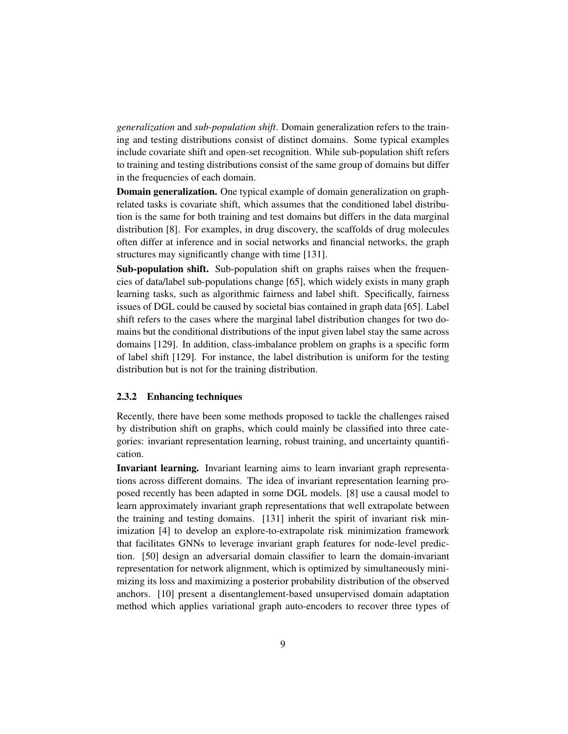*generalization* and *sub-population shift*. Domain generalization refers to the training and testing distributions consist of distinct domains. Some typical examples include covariate shift and open-set recognition. While sub-population shift refers to training and testing distributions consist of the same group of domains but differ in the frequencies of each domain.

Domain generalization. One typical example of domain generalization on graphrelated tasks is covariate shift, which assumes that the conditioned label distribution is the same for both training and test domains but differs in the data marginal distribution [\[8\]](#page-36-1). For examples, in drug discovery, the scaffolds of drug molecules often differ at inference and in social networks and financial networks, the graph structures may significantly change with time [\[131\]](#page-49-2).

Sub-population shift. Sub-population shift on graphs raises when the frequencies of data/label sub-populations change [\[65\]](#page-42-2), which widely exists in many graph learning tasks, such as algorithmic fairness and label shift. Specifically, fairness issues of DGL could be caused by societal bias contained in graph data [\[65\]](#page-42-2). Label shift refers to the cases where the marginal label distribution changes for two domains but the conditional distributions of the input given label stay the same across domains [\[129\]](#page-49-3). In addition, class-imbalance problem on graphs is a specific form of label shift [\[129\]](#page-49-3). For instance, the label distribution is uniform for the testing distribution but is not for the training distribution.

#### <span id="page-8-0"></span>2.3.2 Enhancing techniques

Recently, there have been some methods proposed to tackle the challenges raised by distribution shift on graphs, which could mainly be classified into three categories: invariant representation learning, robust training, and uncertainty quantification.

Invariant learning. Invariant learning aims to learn invariant graph representations across different domains. The idea of invariant representation learning proposed recently has been adapted in some DGL models. [\[8\]](#page-36-1) use a causal model to learn approximately invariant graph representations that well extrapolate between the training and testing domains. [\[131\]](#page-49-2) inherit the spirit of invariant risk minimization [\[4\]](#page-36-2) to develop an explore-to-extrapolate risk minimization framework that facilitates GNNs to leverage invariant graph features for node-level prediction. [\[50\]](#page-41-0) design an adversarial domain classifier to learn the domain-invariant representation for network alignment, which is optimized by simultaneously minimizing its loss and maximizing a posterior probability distribution of the observed anchors. [\[10\]](#page-36-3) present a disentanglement-based unsupervised domain adaptation method which applies variational graph auto-encoders to recover three types of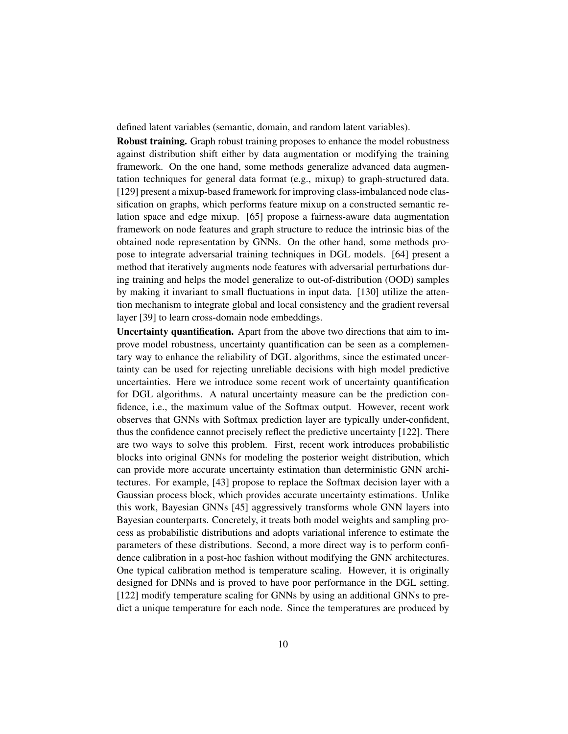defined latent variables (semantic, domain, and random latent variables).

**Robust training.** Graph robust training proposes to enhance the model robustness against distribution shift either by data augmentation or modifying the training framework. On the one hand, some methods generalize advanced data augmentation techniques for general data format (e.g., mixup) to graph-structured data. [\[129\]](#page-49-3) present a mixup-based framework for improving class-imbalanced node classification on graphs, which performs feature mixup on a constructed semantic relation space and edge mixup. [\[65\]](#page-42-2) propose a fairness-aware data augmentation framework on node features and graph structure to reduce the intrinsic bias of the obtained node representation by GNNs. On the other hand, some methods propose to integrate adversarial training techniques in DGL models. [\[64\]](#page-42-3) present a method that iteratively augments node features with adversarial perturbations during training and helps the model generalize to out-of-distribution (OOD) samples by making it invariant to small fluctuations in input data. [\[130\]](#page-49-4) utilize the attention mechanism to integrate global and local consistency and the gradient reversal layer [\[39\]](#page-40-5) to learn cross-domain node embeddings.

Uncertainty quantification. Apart from the above two directions that aim to improve model robustness, uncertainty quantification can be seen as a complementary way to enhance the reliability of DGL algorithms, since the estimated uncertainty can be used for rejecting unreliable decisions with high model predictive uncertainties. Here we introduce some recent work of uncertainty quantification for DGL algorithms. A natural uncertainty measure can be the prediction confidence, i.e., the maximum value of the Softmax output. However, recent work observes that GNNs with Softmax prediction layer are typically under-confident, thus the confidence cannot precisely reflect the predictive uncertainty [\[122\]](#page-48-1). There are two ways to solve this problem. First, recent work introduces probabilistic blocks into original GNNs for modeling the posterior weight distribution, which can provide more accurate uncertainty estimation than deterministic GNN architectures. For example, [\[43\]](#page-40-1) propose to replace the Softmax decision layer with a Gaussian process block, which provides accurate uncertainty estimations. Unlike this work, Bayesian GNNs [\[45\]](#page-40-4) aggressively transforms whole GNN layers into Bayesian counterparts. Concretely, it treats both model weights and sampling process as probabilistic distributions and adopts variational inference to estimate the parameters of these distributions. Second, a more direct way is to perform confidence calibration in a post-hoc fashion without modifying the GNN architectures. One typical calibration method is temperature scaling. However, it is originally designed for DNNs and is proved to have poor performance in the DGL setting. [\[122\]](#page-48-1) modify temperature scaling for GNNs by using an additional GNNs to predict a unique temperature for each node. Since the temperatures are produced by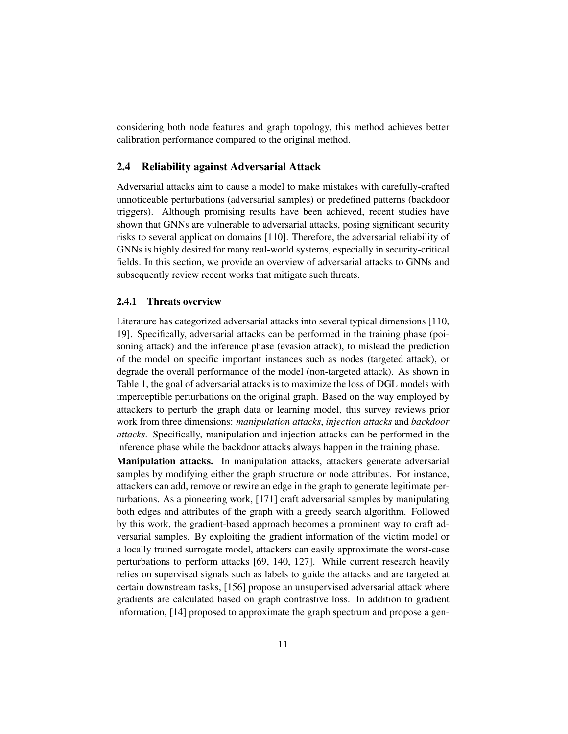considering both node features and graph topology, this method achieves better calibration performance compared to the original method.

## 2.4 Reliability against Adversarial Attack

Adversarial attacks aim to cause a model to make mistakes with carefully-crafted unnoticeable perturbations (adversarial samples) or predefined patterns (backdoor triggers). Although promising results have been achieved, recent studies have shown that GNNs are vulnerable to adversarial attacks, posing significant security risks to several application domains [\[110\]](#page-47-0). Therefore, the adversarial reliability of GNNs is highly desired for many real-world systems, especially in security-critical fields. In this section, we provide an overview of adversarial attacks to GNNs and subsequently review recent works that mitigate such threats.

#### 2.4.1 Threats overview

Literature has categorized adversarial attacks into several typical dimensions [\[110,](#page-47-0) [19\]](#page-37-0). Specifically, adversarial attacks can be performed in the training phase (poisoning attack) and the inference phase (evasion attack), to mislead the prediction of the model on specific important instances such as nodes (targeted attack), or degrade the overall performance of the model (non-targeted attack). As shown in Table [1,](#page-4-0) the goal of adversarial attacks is to maximize the loss of DGL models with imperceptible perturbations on the original graph. Based on the way employed by attackers to perturb the graph data or learning model, this survey reviews prior work from three dimensions: *manipulation attacks*, *injection attacks* and *backdoor attacks*. Specifically, manipulation and injection attacks can be performed in the inference phase while the backdoor attacks always happen in the training phase.

**Manipulation attacks.** In manipulation attacks, attackers generate adversarial samples by modifying either the graph structure or node attributes. For instance, attackers can add, remove or rewire an edge in the graph to generate legitimate perturbations. As a pioneering work, [\[171\]](#page-53-1) craft adversarial samples by manipulating both edges and attributes of the graph with a greedy search algorithm. Followed by this work, the gradient-based approach becomes a prominent way to craft adversarial samples. By exploiting the gradient information of the victim model or a locally trained surrogate model, attackers can easily approximate the worst-case perturbations to perform attacks [\[69,](#page-43-3) [140,](#page-50-1) [127\]](#page-48-2). While current research heavily relies on supervised signals such as labels to guide the attacks and are targeted at certain downstream tasks, [\[156\]](#page-51-2) propose an unsupervised adversarial attack where gradients are calculated based on graph contrastive loss. In addition to gradient information, [\[14\]](#page-37-5) proposed to approximate the graph spectrum and propose a gen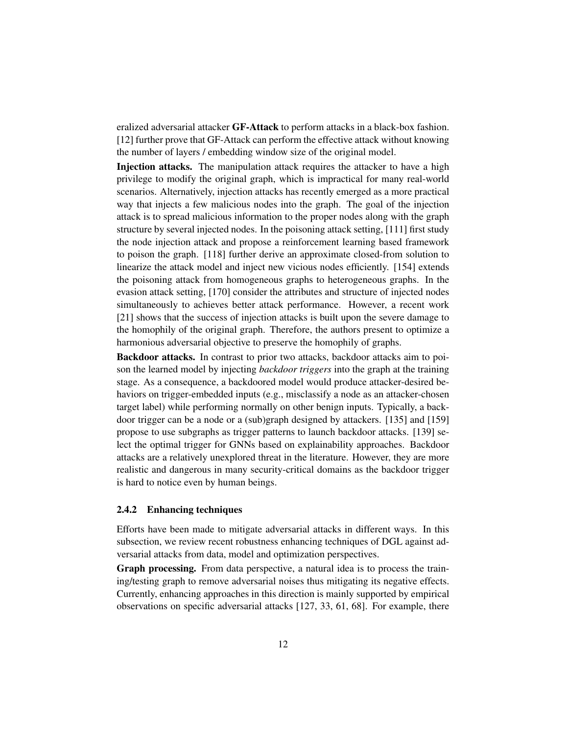eralized adversarial attacker GF-Attack to perform attacks in a black-box fashion. [\[12\]](#page-37-6) further prove that GF-Attack can perform the effective attack without knowing the number of layers / embedding window size of the original model.

Injection attacks. The manipulation attack requires the attacker to have a high privilege to modify the original graph, which is impractical for many real-world scenarios. Alternatively, injection attacks has recently emerged as a more practical way that injects a few malicious nodes into the graph. The goal of the injection attack is to spread malicious information to the proper nodes along with the graph structure by several injected nodes. In the poisoning attack setting, [\[111\]](#page-47-3) first study the node injection attack and propose a reinforcement learning based framework to poison the graph. [\[118\]](#page-48-6) further derive an approximate closed-from solution to linearize the attack model and inject new vicious nodes efficiently. [\[154\]](#page-51-3) extends the poisoning attack from homogeneous graphs to heterogeneous graphs. In the evasion attack setting, [\[170\]](#page-53-2) consider the attributes and structure of injected nodes simultaneously to achieves better attack performance. However, a recent work [\[21\]](#page-38-3) shows that the success of injection attacks is built upon the severe damage to the homophily of the original graph. Therefore, the authors present to optimize a harmonious adversarial objective to preserve the homophily of graphs.

Backdoor attacks. In contrast to prior two attacks, backdoor attacks aim to poison the learned model by injecting *backdoor triggers* into the graph at the training stage. As a consequence, a backdoored model would produce attacker-desired behaviors on trigger-embedded inputs (e.g., misclassify a node as an attacker-chosen target label) while performing normally on other benign inputs. Typically, a backdoor trigger can be a node or a (sub)graph designed by attackers. [\[135\]](#page-49-5) and [\[159\]](#page-52-3) propose to use subgraphs as trigger patterns to launch backdoor attacks. [\[139\]](#page-50-3) select the optimal trigger for GNNs based on explainability approaches. Backdoor attacks are a relatively unexplored threat in the literature. However, they are more realistic and dangerous in many security-critical domains as the backdoor trigger is hard to notice even by human beings.

#### <span id="page-11-0"></span>2.4.2 Enhancing techniques

Efforts have been made to mitigate adversarial attacks in different ways. In this subsection, we review recent robustness enhancing techniques of DGL against adversarial attacks from data, model and optimization perspectives.

Graph processing. From data perspective, a natural idea is to process the training/testing graph to remove adversarial noises thus mitigating its negative effects. Currently, enhancing approaches in this direction is mainly supported by empirical observations on specific adversarial attacks [\[127,](#page-48-2) [33,](#page-39-0) [61,](#page-42-4) [68\]](#page-42-6). For example, there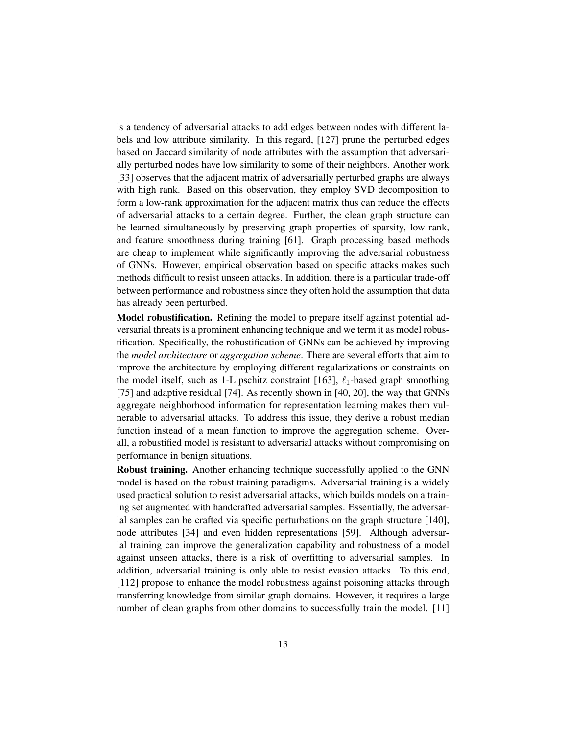is a tendency of adversarial attacks to add edges between nodes with different labels and low attribute similarity. In this regard, [\[127\]](#page-48-2) prune the perturbed edges based on Jaccard similarity of node attributes with the assumption that adversarially perturbed nodes have low similarity to some of their neighbors. Another work [\[33\]](#page-39-0) observes that the adjacent matrix of adversarially perturbed graphs are always with high rank. Based on this observation, they employ SVD decomposition to form a low-rank approximation for the adjacent matrix thus can reduce the effects of adversarial attacks to a certain degree. Further, the clean graph structure can be learned simultaneously by preserving graph properties of sparsity, low rank, and feature smoothness during training [\[61\]](#page-42-4). Graph processing based methods are cheap to implement while significantly improving the adversarial robustness of GNNs. However, empirical observation based on specific attacks makes such methods difficult to resist unseen attacks. In addition, there is a particular trade-off between performance and robustness since they often hold the assumption that data has already been perturbed.

Model robustification. Refining the model to prepare itself against potential adversarial threats is a prominent enhancing technique and we term it as model robustification. Specifically, the robustification of GNNs can be achieved by improving the *model architecture* or *aggregation scheme*. There are several efforts that aim to improve the architecture by employing different regularizations or constraints on the model itself, such as 1-Lipschitz constraint [\[163\]](#page-52-4),  $\ell_1$ -based graph smoothing [\[75\]](#page-43-2) and adaptive residual [\[74\]](#page-43-4). As recently shown in [\[40,](#page-40-2) [20\]](#page-37-3), the way that GNNs aggregate neighborhood information for representation learning makes them vulnerable to adversarial attacks. To address this issue, they derive a robust median function instead of a mean function to improve the aggregation scheme. Overall, a robustified model is resistant to adversarial attacks without compromising on performance in benign situations.

Robust training. Another enhancing technique successfully applied to the GNN model is based on the robust training paradigms. Adversarial training is a widely used practical solution to resist adversarial attacks, which builds models on a training set augmented with handcrafted adversarial samples. Essentially, the adversarial samples can be crafted via specific perturbations on the graph structure [\[140\]](#page-50-1), node attributes [\[34\]](#page-39-1) and even hidden representations [\[59\]](#page-42-7). Although adversarial training can improve the generalization capability and robustness of a model against unseen attacks, there is a risk of overfitting to adversarial samples. In addition, adversarial training is only able to resist evasion attacks. To this end, [\[112\]](#page-47-2) propose to enhance the model robustness against poisoning attacks through transferring knowledge from similar graph domains. However, it requires a large number of clean graphs from other domains to successfully train the model. [\[11\]](#page-36-4)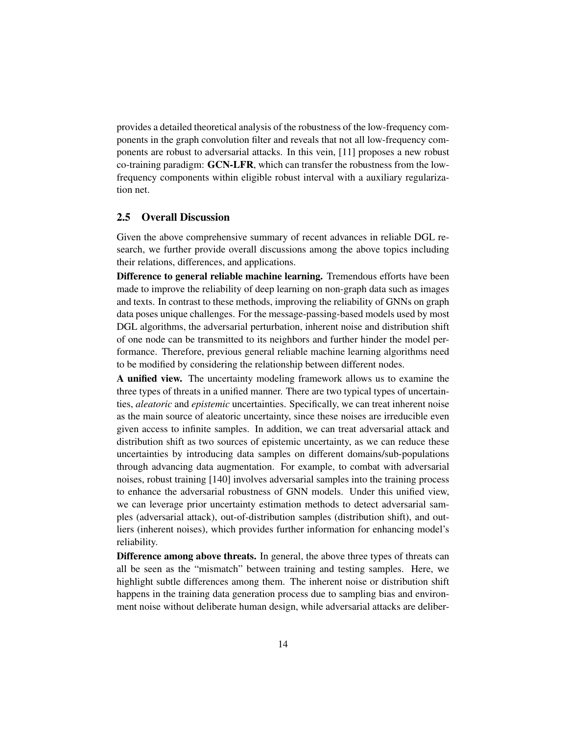provides a detailed theoretical analysis of the robustness of the low-frequency components in the graph convolution filter and reveals that not all low-frequency components are robust to adversarial attacks. In this vein, [\[11\]](#page-36-4) proposes a new robust co-training paradigm: GCN-LFR, which can transfer the robustness from the lowfrequency components within eligible robust interval with a auxiliary regularization net.

#### <span id="page-13-0"></span>2.5 Overall Discussion

Given the above comprehensive summary of recent advances in reliable DGL research, we further provide overall discussions among the above topics including their relations, differences, and applications.

Difference to general reliable machine learning. Tremendous efforts have been made to improve the reliability of deep learning on non-graph data such as images and texts. In contrast to these methods, improving the reliability of GNNs on graph data poses unique challenges. For the message-passing-based models used by most DGL algorithms, the adversarial perturbation, inherent noise and distribution shift of one node can be transmitted to its neighbors and further hinder the model performance. Therefore, previous general reliable machine learning algorithms need to be modified by considering the relationship between different nodes.

A unified view. The uncertainty modeling framework allows us to examine the three types of threats in a unified manner. There are two typical types of uncertainties, *aleatoric* and *epistemic* uncertainties. Specifically, we can treat inherent noise as the main source of aleatoric uncertainty, since these noises are irreducible even given access to infinite samples. In addition, we can treat adversarial attack and distribution shift as two sources of epistemic uncertainty, as we can reduce these uncertainties by introducing data samples on different domains/sub-populations through advancing data augmentation. For example, to combat with adversarial noises, robust training [\[140\]](#page-50-1) involves adversarial samples into the training process to enhance the adversarial robustness of GNN models. Under this unified view, we can leverage prior uncertainty estimation methods to detect adversarial samples (adversarial attack), out-of-distribution samples (distribution shift), and outliers (inherent noises), which provides further information for enhancing model's reliability.

Difference among above threats. In general, the above three types of threats can all be seen as the "mismatch" between training and testing samples. Here, we highlight subtle differences among them. The inherent noise or distribution shift happens in the training data generation process due to sampling bias and environment noise without deliberate human design, while adversarial attacks are deliber-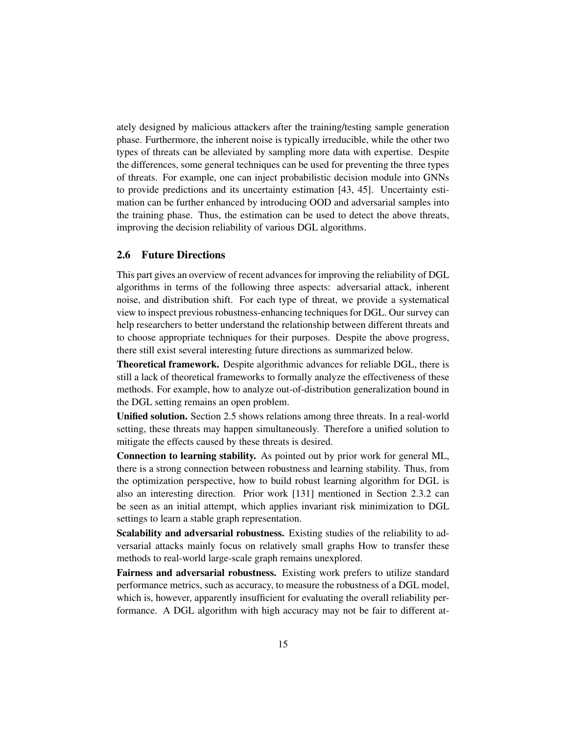ately designed by malicious attackers after the training/testing sample generation phase. Furthermore, the inherent noise is typically irreducible, while the other two types of threats can be alleviated by sampling more data with expertise. Despite the differences, some general techniques can be used for preventing the three types of threats. For example, one can inject probabilistic decision module into GNNs to provide predictions and its uncertainty estimation [\[43,](#page-40-1) [45\]](#page-40-4). Uncertainty estimation can be further enhanced by introducing OOD and adversarial samples into the training phase. Thus, the estimation can be used to detect the above threats, improving the decision reliability of various DGL algorithms.

## 2.6 Future Directions

This part gives an overview of recent advances for improving the reliability of DGL algorithms in terms of the following three aspects: adversarial attack, inherent noise, and distribution shift. For each type of threat, we provide a systematical view to inspect previous robustness-enhancing techniques for DGL. Our survey can help researchers to better understand the relationship between different threats and to choose appropriate techniques for their purposes. Despite the above progress, there still exist several interesting future directions as summarized below.

Theoretical framework. Despite algorithmic advances for reliable DGL, there is still a lack of theoretical frameworks to formally analyze the effectiveness of these methods. For example, how to analyze out-of-distribution generalization bound in the DGL setting remains an open problem.

Unified solution. Section [2.5](#page-13-0) shows relations among three threats. In a real-world setting, these threats may happen simultaneously. Therefore a unified solution to mitigate the effects caused by these threats is desired.

Connection to learning stability. As pointed out by prior work for general ML, there is a strong connection between robustness and learning stability. Thus, from the optimization perspective, how to build robust learning algorithm for DGL is also an interesting direction. Prior work [\[131\]](#page-49-2) mentioned in Section [2.3.2](#page-8-0) can be seen as an initial attempt, which applies invariant risk minimization to DGL settings to learn a stable graph representation.

Scalability and adversarial robustness. Existing studies of the reliability to adversarial attacks mainly focus on relatively small graphs How to transfer these methods to real-world large-scale graph remains unexplored.

Fairness and adversarial robustness. Existing work prefers to utilize standard performance metrics, such as accuracy, to measure the robustness of a DGL model, which is, however, apparently insufficient for evaluating the overall reliability performance. A DGL algorithm with high accuracy may not be fair to different at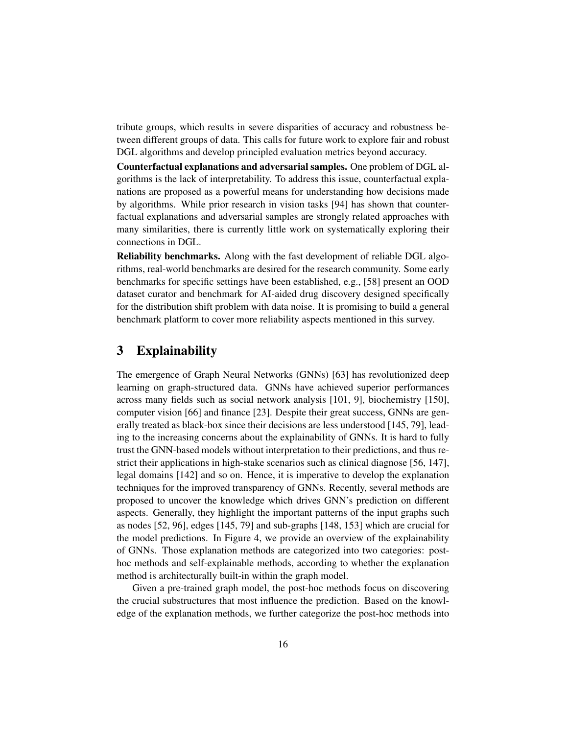tribute groups, which results in severe disparities of accuracy and robustness between different groups of data. This calls for future work to explore fair and robust DGL algorithms and develop principled evaluation metrics beyond accuracy.

Counterfactual explanations and adversarial samples. One problem of DGL algorithms is the lack of interpretability. To address this issue, counterfactual explanations are proposed as a powerful means for understanding how decisions made by algorithms. While prior research in vision tasks [\[94\]](#page-45-3) has shown that counterfactual explanations and adversarial samples are strongly related approaches with many similarities, there is currently little work on systematically exploring their connections in DGL.

Reliability benchmarks. Along with the fast development of reliable DGL algorithms, real-world benchmarks are desired for the research community. Some early benchmarks for specific settings have been established, e.g., [\[58\]](#page-42-5) present an OOD dataset curator and benchmark for AI-aided drug discovery designed specifically for the distribution shift problem with data noise. It is promising to build a general benchmark platform to cover more reliability aspects mentioned in this survey.

# <span id="page-15-0"></span>3 Explainability

The emergence of Graph Neural Networks (GNNs) [\[63\]](#page-42-8) has revolutionized deep learning on graph-structured data. GNNs have achieved superior performances across many fields such as social network analysis [\[101,](#page-46-1) [9\]](#page-36-0), biochemistry [\[150\]](#page-51-4), computer vision [\[66\]](#page-42-9) and finance [\[23\]](#page-38-4). Despite their great success, GNNs are generally treated as black-box since their decisions are less understood [\[145,](#page-50-4) [79\]](#page-43-5), leading to the increasing concerns about the explainability of GNNs. It is hard to fully trust the GNN-based models without interpretation to their predictions, and thus restrict their applications in high-stake scenarios such as clinical diagnose [\[56,](#page-41-3) [147\]](#page-50-5), legal domains [\[142\]](#page-50-6) and so on. Hence, it is imperative to develop the explanation techniques for the improved transparency of GNNs. Recently, several methods are proposed to uncover the knowledge which drives GNN's prediction on different aspects. Generally, they highlight the important patterns of the input graphs such as nodes [\[52,](#page-41-4) [96\]](#page-45-4), edges [\[145,](#page-50-4) [79\]](#page-43-5) and sub-graphs [\[148,](#page-51-5) [153\]](#page-51-6) which are crucial for the model predictions. In Figure [4,](#page-16-0) we provide an overview of the explainability of GNNs. Those explanation methods are categorized into two categories: posthoc methods and self-explainable methods, according to whether the explanation method is architecturally built-in within the graph model.

Given a pre-trained graph model, the post-hoc methods focus on discovering the crucial substructures that most influence the prediction. Based on the knowledge of the explanation methods, we further categorize the post-hoc methods into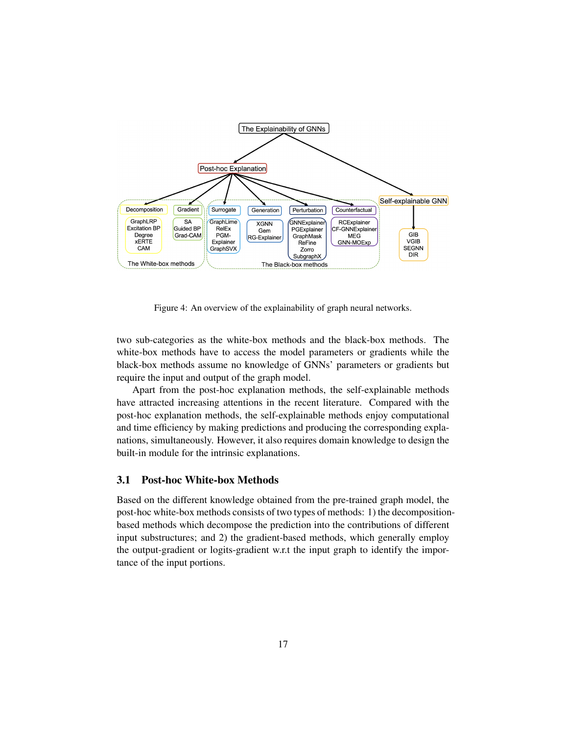<span id="page-16-0"></span>

Figure 4: An overview of the explainability of graph neural networks.

two sub-categories as the white-box methods and the black-box methods. The white-box methods have to access the model parameters or gradients while the black-box methods assume no knowledge of GNNs' parameters or gradients but require the input and output of the graph model.

Apart from the post-hoc explanation methods, the self-explainable methods have attracted increasing attentions in the recent literature. Compared with the post-hoc explanation methods, the self-explainable methods enjoy computational and time efficiency by making predictions and producing the corresponding explanations, simultaneously. However, it also requires domain knowledge to design the built-in module for the intrinsic explanations.

#### 3.1 Post-hoc White-box Methods

Based on the different knowledge obtained from the pre-trained graph model, the post-hoc white-box methods consists of two types of methods: 1) the decompositionbased methods which decompose the prediction into the contributions of different input substructures; and 2) the gradient-based methods, which generally employ the output-gradient or logits-gradient w.r.t the input graph to identify the importance of the input portions.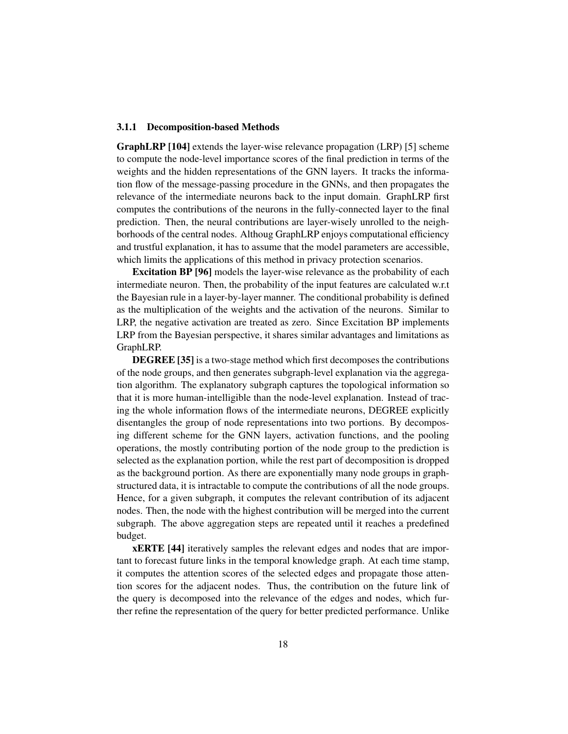### 3.1.1 Decomposition-based Methods

GraphLRP [\[104\]](#page-46-2) extends the layer-wise relevance propagation (LRP) [\[5\]](#page-36-5) scheme to compute the node-level importance scores of the final prediction in terms of the weights and the hidden representations of the GNN layers. It tracks the information flow of the message-passing procedure in the GNNs, and then propagates the relevance of the intermediate neurons back to the input domain. GraphLRP first computes the contributions of the neurons in the fully-connected layer to the final prediction. Then, the neural contributions are layer-wisely unrolled to the neighborhoods of the central nodes. Althoug GraphLRP enjoys computational efficiency and trustful explanation, it has to assume that the model parameters are accessible, which limits the applications of this method in privacy protection scenarios.

Excitation BP [\[96\]](#page-45-4) models the layer-wise relevance as the probability of each intermediate neuron. Then, the probability of the input features are calculated w.r.t the Bayesian rule in a layer-by-layer manner. The conditional probability is defined as the multiplication of the weights and the activation of the neurons. Similar to LRP, the negative activation are treated as zero. Since Excitation BP implements LRP from the Bayesian perspective, it shares similar advantages and limitations as GraphLRP.

DEGREE [\[35\]](#page-39-4) is a two-stage method which first decomposes the contributions of the node groups, and then generates subgraph-level explanation via the aggregation algorithm. The explanatory subgraph captures the topological information so that it is more human-intelligible than the node-level explanation. Instead of tracing the whole information flows of the intermediate neurons, DEGREE explicitly disentangles the group of node representations into two portions. By decomposing different scheme for the GNN layers, activation functions, and the pooling operations, the mostly contributing portion of the node group to the prediction is selected as the explanation portion, while the rest part of decomposition is dropped as the background portion. As there are exponentially many node groups in graphstructured data, it is intractable to compute the contributions of all the node groups. Hence, for a given subgraph, it computes the relevant contribution of its adjacent nodes. Then, the node with the highest contribution will be merged into the current subgraph. The above aggregation steps are repeated until it reaches a predefined budget.

xERTE [\[44\]](#page-40-6) iteratively samples the relevant edges and nodes that are important to forecast future links in the temporal knowledge graph. At each time stamp, it computes the attention scores of the selected edges and propagate those attention scores for the adjacent nodes. Thus, the contribution on the future link of the query is decomposed into the relevance of the edges and nodes, which further refine the representation of the query for better predicted performance. Unlike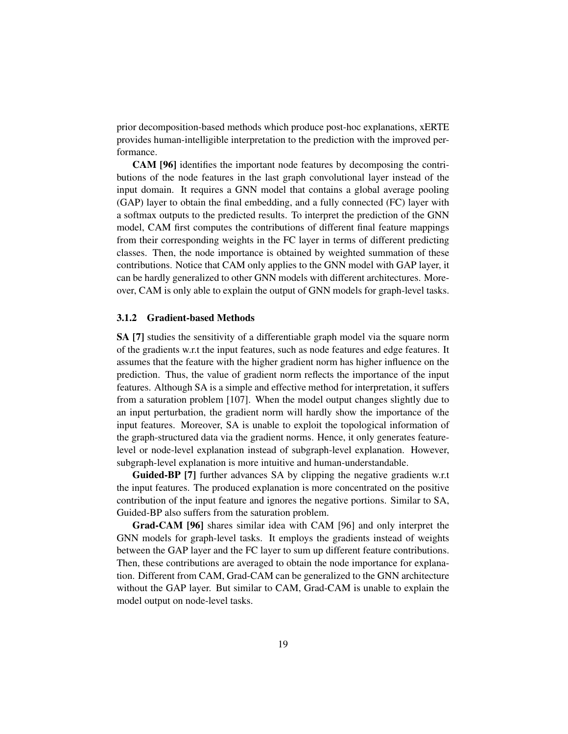prior decomposition-based methods which produce post-hoc explanations, xERTE provides human-intelligible interpretation to the prediction with the improved performance.

CAM [\[96\]](#page-45-4) identifies the important node features by decomposing the contributions of the node features in the last graph convolutional layer instead of the input domain. It requires a GNN model that contains a global average pooling (GAP) layer to obtain the final embedding, and a fully connected (FC) layer with a softmax outputs to the predicted results. To interpret the prediction of the GNN model, CAM first computes the contributions of different final feature mappings from their corresponding weights in the FC layer in terms of different predicting classes. Then, the node importance is obtained by weighted summation of these contributions. Notice that CAM only applies to the GNN model with GAP layer, it can be hardly generalized to other GNN models with different architectures. Moreover, CAM is only able to explain the output of GNN models for graph-level tasks.

#### 3.1.2 Gradient-based Methods

SA [\[7\]](#page-36-6) studies the sensitivity of a differentiable graph model via the square norm of the gradients w.r.t the input features, such as node features and edge features. It assumes that the feature with the higher gradient norm has higher influence on the prediction. Thus, the value of gradient norm reflects the importance of the input features. Although SA is a simple and effective method for interpretation, it suffers from a saturation problem [\[107\]](#page-46-3). When the model output changes slightly due to an input perturbation, the gradient norm will hardly show the importance of the input features. Moreover, SA is unable to exploit the topological information of the graph-structured data via the gradient norms. Hence, it only generates featurelevel or node-level explanation instead of subgraph-level explanation. However, subgraph-level explanation is more intuitive and human-understandable.

Guided-BP [\[7\]](#page-36-6) further advances SA by clipping the negative gradients w.r.t the input features. The produced explanation is more concentrated on the positive contribution of the input feature and ignores the negative portions. Similar to SA, Guided-BP also suffers from the saturation problem.

Grad-CAM [\[96\]](#page-45-4) shares similar idea with CAM [\[96\]](#page-45-4) and only interpret the GNN models for graph-level tasks. It employs the gradients instead of weights between the GAP layer and the FC layer to sum up different feature contributions. Then, these contributions are averaged to obtain the node importance for explanation. Different from CAM, Grad-CAM can be generalized to the GNN architecture without the GAP layer. But similar to CAM, Grad-CAM is unable to explain the model output on node-level tasks.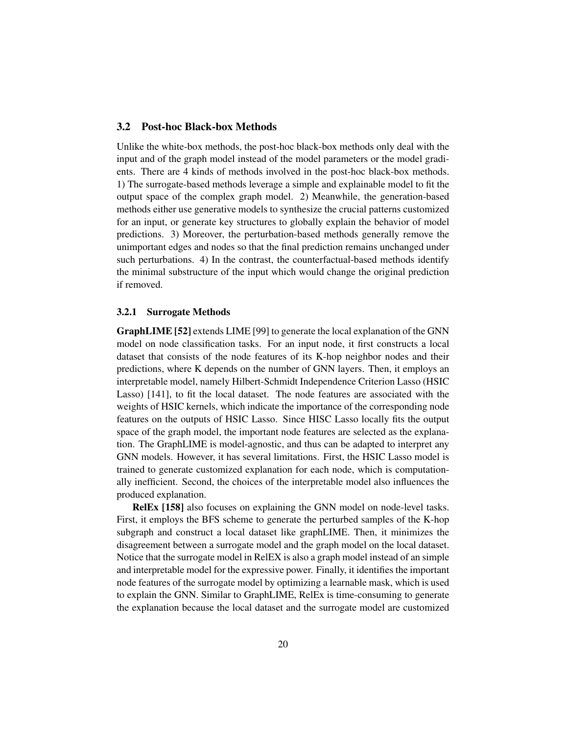## 3.2 Post-hoc Black-box Methods

Unlike the white-box methods, the post-hoc black-box methods only deal with the input and of the graph model instead of the model parameters or the model gradients. There are 4 kinds of methods involved in the post-hoc black-box methods. 1) The surrogate-based methods leverage a simple and explainable model to fit the output space of the complex graph model. 2) Meanwhile, the generation-based methods either use generative models to synthesize the crucial patterns customized for an input, or generate key structures to globally explain the behavior of model predictions. 3) Moreover, the perturbation-based methods generally remove the unimportant edges and nodes so that the final prediction remains unchanged under such perturbations. 4) In the contrast, the counterfactual-based methods identify the minimal substructure of the input which would change the original prediction if removed.

#### 3.2.1 Surrogate Methods

GraphLIME [\[52\]](#page-41-4) extends LIME [\[99\]](#page-46-4) to generate the local explanation of the GNN model on node classification tasks. For an input node, it first constructs a local dataset that consists of the node features of its K-hop neighbor nodes and their predictions, where K depends on the number of GNN layers. Then, it employs an interpretable model, namely Hilbert-Schmidt Independence Criterion Lasso (HSIC Lasso) [\[141\]](#page-50-7), to fit the local dataset. The node features are associated with the weights of HSIC kernels, which indicate the importance of the corresponding node features on the outputs of HSIC Lasso. Since HISC Lasso locally fits the output space of the graph model, the important node features are selected as the explanation. The GraphLIME is model-agnostic, and thus can be adapted to interpret any GNN models. However, it has several limitations. First, the HSIC Lasso model is trained to generate customized explanation for each node, which is computationally inefficient. Second, the choices of the interpretable model also influences the produced explanation.

RelEx [\[158\]](#page-52-5) also focuses on explaining the GNN model on node-level tasks. First, it employs the BFS scheme to generate the perturbed samples of the K-hop subgraph and construct a local dataset like graphLIME. Then, it minimizes the disagreement between a surrogate model and the graph model on the local dataset. Notice that the surrogate model in RelEX is also a graph model instead of an simple and interpretable model for the expressive power. Finally, it identifies the important node features of the surrogate model by optimizing a learnable mask, which is used to explain the GNN. Similar to GraphLIME, RelEx is time-consuming to generate the explanation because the local dataset and the surrogate model are customized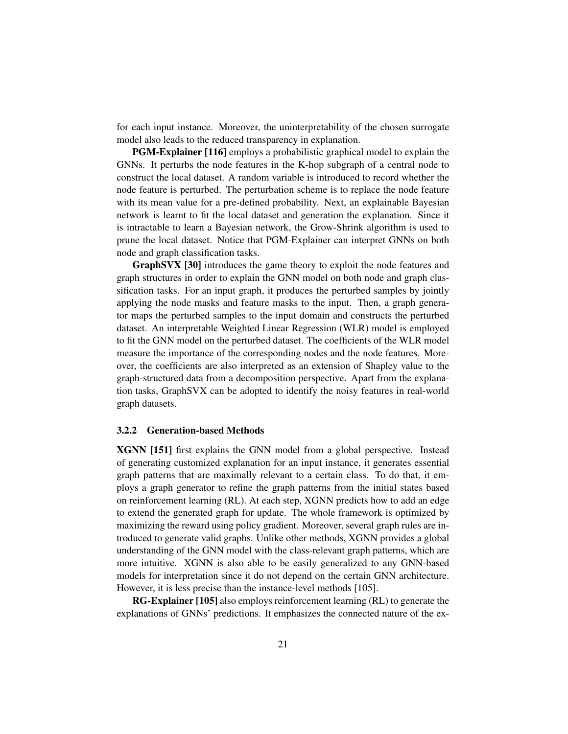for each input instance. Moreover, the uninterpretability of the chosen surrogate model also leads to the reduced transparency in explanation.

PGM-Explainer [\[116\]](#page-47-4) employs a probabilistic graphical model to explain the GNNs. It perturbs the node features in the K-hop subgraph of a central node to construct the local dataset. A random variable is introduced to record whether the node feature is perturbed. The perturbation scheme is to replace the node feature with its mean value for a pre-defined probability. Next, an explainable Bayesian network is learnt to fit the local dataset and generation the explanation. Since it is intractable to learn a Bayesian network, the Grow-Shrink algorithm is used to prune the local dataset. Notice that PGM-Explainer can interpret GNNs on both node and graph classification tasks.

GraphSVX [\[30\]](#page-39-5) introduces the game theory to exploit the node features and graph structures in order to explain the GNN model on both node and graph classification tasks. For an input graph, it produces the perturbed samples by jointly applying the node masks and feature masks to the input. Then, a graph generator maps the perturbed samples to the input domain and constructs the perturbed dataset. An interpretable Weighted Linear Regression (WLR) model is employed to fit the GNN model on the perturbed dataset. The coefficients of the WLR model measure the importance of the corresponding nodes and the node features. Moreover, the coefficients are also interpreted as an extension of Shapley value to the graph-structured data from a decomposition perspective. Apart from the explanation tasks, GraphSVX can be adopted to identify the noisy features in real-world graph datasets.

#### 3.2.2 Generation-based Methods

XGNN [\[151\]](#page-51-7) first explains the GNN model from a global perspective. Instead of generating customized explanation for an input instance, it generates essential graph patterns that are maximally relevant to a certain class. To do that, it employs a graph generator to refine the graph patterns from the initial states based on reinforcement learning (RL). At each step, XGNN predicts how to add an edge to extend the generated graph for update. The whole framework is optimized by maximizing the reward using policy gradient. Moreover, several graph rules are introduced to generate valid graphs. Unlike other methods, XGNN provides a global understanding of the GNN model with the class-relevant graph patterns, which are more intuitive. XGNN is also able to be easily generalized to any GNN-based models for interpretation since it do not depend on the certain GNN architecture. However, it is less precise than the instance-level methods [\[105\]](#page-46-5).

RG-Explainer [\[105\]](#page-46-5) also employs reinforcement learning (RL) to generate the explanations of GNNs' predictions. It emphasizes the connected nature of the ex-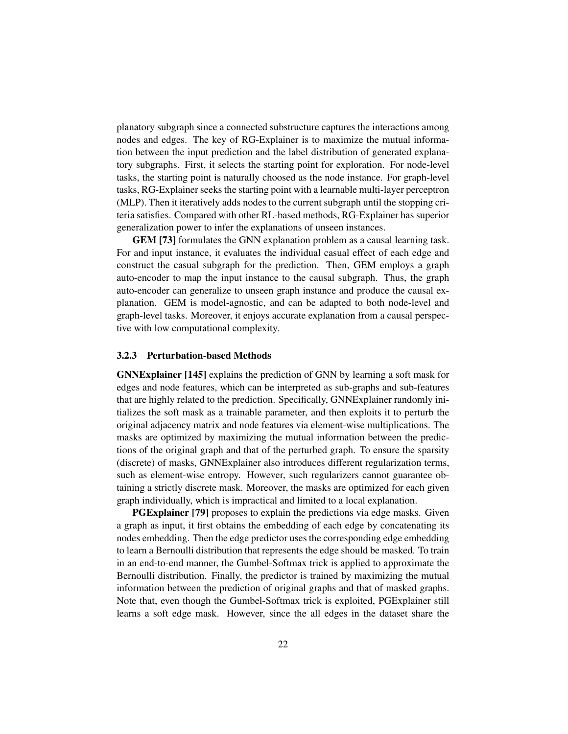planatory subgraph since a connected substructure captures the interactions among nodes and edges. The key of RG-Explainer is to maximize the mutual information between the input prediction and the label distribution of generated explanatory subgraphs. First, it selects the starting point for exploration. For node-level tasks, the starting point is naturally choosed as the node instance. For graph-level tasks, RG-Explainer seeks the starting point with a learnable multi-layer perceptron (MLP). Then it iteratively adds nodes to the current subgraph until the stopping criteria satisfies. Compared with other RL-based methods, RG-Explainer has superior generalization power to infer the explanations of unseen instances.

GEM [\[73\]](#page-43-6) formulates the GNN explanation problem as a causal learning task. For and input instance, it evaluates the individual casual effect of each edge and construct the casual subgraph for the prediction. Then, GEM employs a graph auto-encoder to map the input instance to the causal subgraph. Thus, the graph auto-encoder can generalize to unseen graph instance and produce the causal explanation. GEM is model-agnostic, and can be adapted to both node-level and graph-level tasks. Moreover, it enjoys accurate explanation from a causal perspective with low computational complexity.

#### 3.2.3 Perturbation-based Methods

GNNExplainer [\[145\]](#page-50-4) explains the prediction of GNN by learning a soft mask for edges and node features, which can be interpreted as sub-graphs and sub-features that are highly related to the prediction. Specifically, GNNExplainer randomly initializes the soft mask as a trainable parameter, and then exploits it to perturb the original adjacency matrix and node features via element-wise multiplications. The masks are optimized by maximizing the mutual information between the predictions of the original graph and that of the perturbed graph. To ensure the sparsity (discrete) of masks, GNNExplainer also introduces different regularization terms, such as element-wise entropy. However, such regularizers cannot guarantee obtaining a strictly discrete mask. Moreover, the masks are optimized for each given graph individually, which is impractical and limited to a local explanation.

**PGExplainer** [\[79\]](#page-43-5) proposes to explain the predictions via edge masks. Given a graph as input, it first obtains the embedding of each edge by concatenating its nodes embedding. Then the edge predictor uses the corresponding edge embedding to learn a Bernoulli distribution that represents the edge should be masked. To train in an end-to-end manner, the Gumbel-Softmax trick is applied to approximate the Bernoulli distribution. Finally, the predictor is trained by maximizing the mutual information between the prediction of original graphs and that of masked graphs. Note that, even though the Gumbel-Softmax trick is exploited, PGExplainer still learns a soft edge mask. However, since the all edges in the dataset share the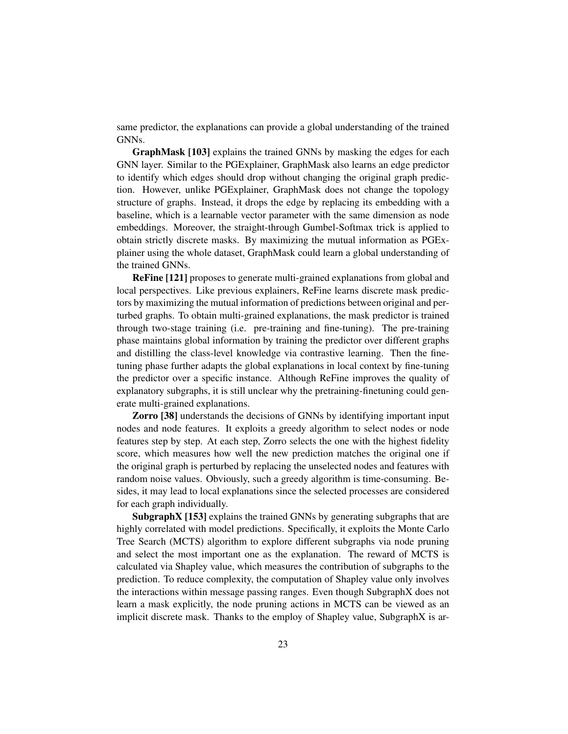same predictor, the explanations can provide a global understanding of the trained GNNs.

GraphMask [\[103\]](#page-46-6) explains the trained GNNs by masking the edges for each GNN layer. Similar to the PGExplainer, GraphMask also learns an edge predictor to identify which edges should drop without changing the original graph prediction. However, unlike PGExplainer, GraphMask does not change the topology structure of graphs. Instead, it drops the edge by replacing its embedding with a baseline, which is a learnable vector parameter with the same dimension as node embeddings. Moreover, the straight-through Gumbel-Softmax trick is applied to obtain strictly discrete masks. By maximizing the mutual information as PGExplainer using the whole dataset, GraphMask could learn a global understanding of the trained GNNs.

ReFine [\[121\]](#page-48-7) proposes to generate multi-grained explanations from global and local perspectives. Like previous explainers, ReFine learns discrete mask predictors by maximizing the mutual information of predictions between original and perturbed graphs. To obtain multi-grained explanations, the mask predictor is trained through two-stage training (i.e. pre-training and fine-tuning). The pre-training phase maintains global information by training the predictor over different graphs and distilling the class-level knowledge via contrastive learning. Then the finetuning phase further adapts the global explanations in local context by fine-tuning the predictor over a specific instance. Although ReFine improves the quality of explanatory subgraphs, it is still unclear why the pretraining-finetuning could generate multi-grained explanations.

Zorro [\[38\]](#page-39-6) understands the decisions of GNNs by identifying important input nodes and node features. It exploits a greedy algorithm to select nodes or node features step by step. At each step, Zorro selects the one with the highest fidelity score, which measures how well the new prediction matches the original one if the original graph is perturbed by replacing the unselected nodes and features with random noise values. Obviously, such a greedy algorithm is time-consuming. Besides, it may lead to local explanations since the selected processes are considered for each graph individually.

SubgraphX [\[153\]](#page-51-6) explains the trained GNNs by generating subgraphs that are highly correlated with model predictions. Specifically, it exploits the Monte Carlo Tree Search (MCTS) algorithm to explore different subgraphs via node pruning and select the most important one as the explanation. The reward of MCTS is calculated via Shapley value, which measures the contribution of subgraphs to the prediction. To reduce complexity, the computation of Shapley value only involves the interactions within message passing ranges. Even though SubgraphX does not learn a mask explicitly, the node pruning actions in MCTS can be viewed as an implicit discrete mask. Thanks to the employ of Shapley value, SubgraphX is ar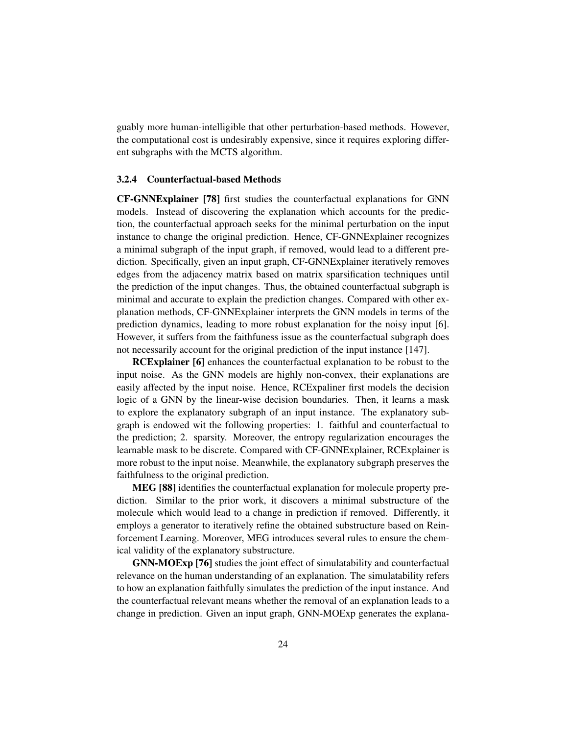guably more human-intelligible that other perturbation-based methods. However, the computational cost is undesirably expensive, since it requires exploring different subgraphs with the MCTS algorithm.

#### 3.2.4 Counterfactual-based Methods

CF-GNNExplainer [\[78\]](#page-43-7) first studies the counterfactual explanations for GNN models. Instead of discovering the explanation which accounts for the prediction, the counterfactual approach seeks for the minimal perturbation on the input instance to change the original prediction. Hence, CF-GNNExplainer recognizes a minimal subgraph of the input graph, if removed, would lead to a different prediction. Specifically, given an input graph, CF-GNNExplainer iteratively removes edges from the adjacency matrix based on matrix sparsification techniques until the prediction of the input changes. Thus, the obtained counterfactual subgraph is minimal and accurate to explain the prediction changes. Compared with other explanation methods, CF-GNNExplainer interprets the GNN models in terms of the prediction dynamics, leading to more robust explanation for the noisy input [\[6\]](#page-36-7). However, it suffers from the faithfuness issue as the counterfactual subgraph does not necessarily account for the original prediction of the input instance [\[147\]](#page-50-5).

RCExplainer [\[6\]](#page-36-7) enhances the counterfactual explanation to be robust to the input noise. As the GNN models are highly non-convex, their explanations are easily affected by the input noise. Hence, RCExpaliner first models the decision logic of a GNN by the linear-wise decision boundaries. Then, it learns a mask to explore the explanatory subgraph of an input instance. The explanatory subgraph is endowed wit the following properties: 1. faithful and counterfactual to the prediction; 2. sparsity. Moreover, the entropy regularization encourages the learnable mask to be discrete. Compared with CF-GNNExplainer, RCExplainer is more robust to the input noise. Meanwhile, the explanatory subgraph preserves the faithfulness to the original prediction.

MEG [\[88\]](#page-44-5) identifies the counterfactual explanation for molecule property prediction. Similar to the prior work, it discovers a minimal substructure of the molecule which would lead to a change in prediction if removed. Differently, it employs a generator to iteratively refine the obtained substructure based on Reinforcement Learning. Moreover, MEG introduces several rules to ensure the chemical validity of the explanatory substructure.

GNN-MOExp [\[76\]](#page-43-8) studies the joint effect of simulatability and counterfactual relevance on the human understanding of an explanation. The simulatability refers to how an explanation faithfully simulates the prediction of the input instance. And the counterfactual relevant means whether the removal of an explanation leads to a change in prediction. Given an input graph, GNN-MOExp generates the explana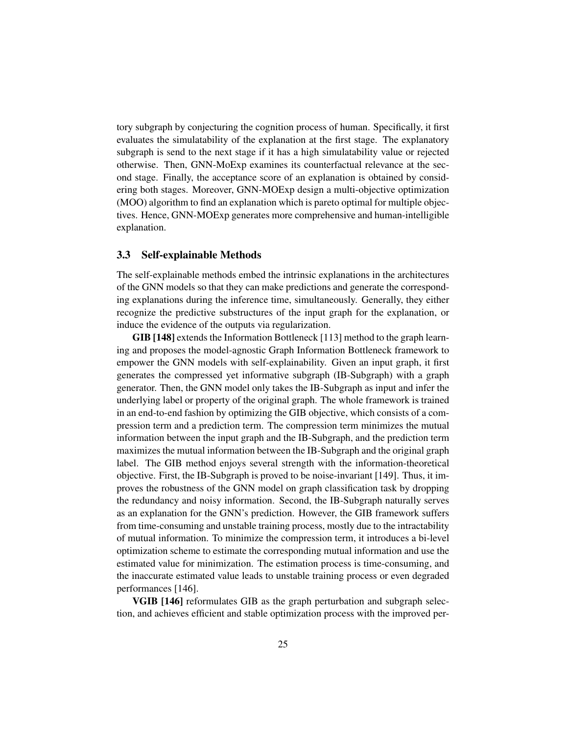tory subgraph by conjecturing the cognition process of human. Specifically, it first evaluates the simulatability of the explanation at the first stage. The explanatory subgraph is send to the next stage if it has a high simulatability value or rejected otherwise. Then, GNN-MoExp examines its counterfactual relevance at the second stage. Finally, the acceptance score of an explanation is obtained by considering both stages. Moreover, GNN-MOExp design a multi-objective optimization (MOO) algorithm to find an explanation which is pareto optimal for multiple objectives. Hence, GNN-MOExp generates more comprehensive and human-intelligible explanation.

## 3.3 Self-explainable Methods

The self-explainable methods embed the intrinsic explanations in the architectures of the GNN models so that they can make predictions and generate the corresponding explanations during the inference time, simultaneously. Generally, they either recognize the predictive substructures of the input graph for the explanation, or induce the evidence of the outputs via regularization.

GIB [\[148\]](#page-51-5) extends the Information Bottleneck [\[113\]](#page-47-5) method to the graph learning and proposes the model-agnostic Graph Information Bottleneck framework to empower the GNN models with self-explainability. Given an input graph, it first generates the compressed yet informative subgraph (IB-Subgraph) with a graph generator. Then, the GNN model only takes the IB-Subgraph as input and infer the underlying label or property of the original graph. The whole framework is trained in an end-to-end fashion by optimizing the GIB objective, which consists of a compression term and a prediction term. The compression term minimizes the mutual information between the input graph and the IB-Subgraph, and the prediction term maximizes the mutual information between the IB-Subgraph and the original graph label. The GIB method enjoys several strength with the information-theoretical objective. First, the IB-Subgraph is proved to be noise-invariant [\[149\]](#page-51-8). Thus, it improves the robustness of the GNN model on graph classification task by dropping the redundancy and noisy information. Second, the IB-Subgraph naturally serves as an explanation for the GNN's prediction. However, the GIB framework suffers from time-consuming and unstable training process, mostly due to the intractability of mutual information. To minimize the compression term, it introduces a bi-level optimization scheme to estimate the corresponding mutual information and use the estimated value for minimization. The estimation process is time-consuming, and the inaccurate estimated value leads to unstable training process or even degraded performances [\[146\]](#page-50-8).

VGIB [\[146\]](#page-50-8) reformulates GIB as the graph perturbation and subgraph selection, and achieves efficient and stable optimization process with the improved per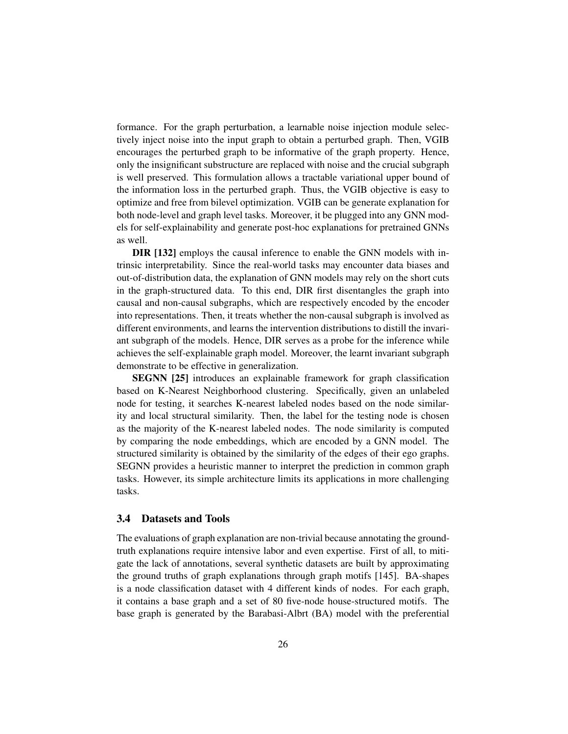formance. For the graph perturbation, a learnable noise injection module selectively inject noise into the input graph to obtain a perturbed graph. Then, VGIB encourages the perturbed graph to be informative of the graph property. Hence, only the insignificant substructure are replaced with noise and the crucial subgraph is well preserved. This formulation allows a tractable variational upper bound of the information loss in the perturbed graph. Thus, the VGIB objective is easy to optimize and free from bilevel optimization. VGIB can be generate explanation for both node-level and graph level tasks. Moreover, it be plugged into any GNN models for self-explainability and generate post-hoc explanations for pretrained GNNs as well.

DIR [\[132\]](#page-49-7) employs the causal inference to enable the GNN models with intrinsic interpretability. Since the real-world tasks may encounter data biases and out-of-distribution data, the explanation of GNN models may rely on the short cuts in the graph-structured data. To this end, DIR first disentangles the graph into causal and non-causal subgraphs, which are respectively encoded by the encoder into representations. Then, it treats whether the non-causal subgraph is involved as different environments, and learns the intervention distributions to distill the invariant subgraph of the models. Hence, DIR serves as a probe for the inference while achieves the self-explainable graph model. Moreover, the learnt invariant subgraph demonstrate to be effective in generalization.

SEGNN [\[25\]](#page-38-5) introduces an explainable framework for graph classification based on K-Nearest Neighborhood clustering. Specifically, given an unlabeled node for testing, it searches K-nearest labeled nodes based on the node similarity and local structural similarity. Then, the label for the testing node is chosen as the majority of the K-nearest labeled nodes. The node similarity is computed by comparing the node embeddings, which are encoded by a GNN model. The structured similarity is obtained by the similarity of the edges of their ego graphs. SEGNN provides a heuristic manner to interpret the prediction in common graph tasks. However, its simple architecture limits its applications in more challenging tasks.

#### 3.4 Datasets and Tools

The evaluations of graph explanation are non-trivial because annotating the groundtruth explanations require intensive labor and even expertise. First of all, to mitigate the lack of annotations, several synthetic datasets are built by approximating the ground truths of graph explanations through graph motifs [\[145\]](#page-50-4). BA-shapes is a node classification dataset with 4 different kinds of nodes. For each graph, it contains a base graph and a set of 80 five-node house-structured motifs. The base graph is generated by the Barabasi-Albrt (BA) model with the preferential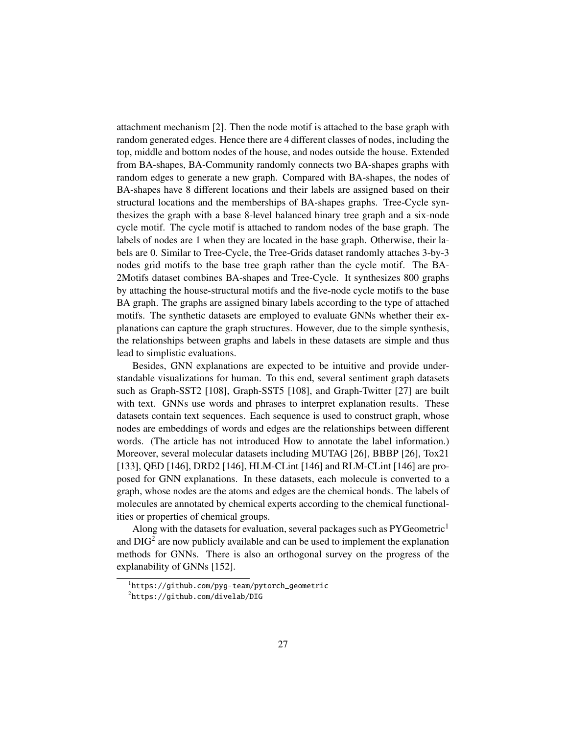attachment mechanism [\[2\]](#page-36-8). Then the node motif is attached to the base graph with random generated edges. Hence there are 4 different classes of nodes, including the top, middle and bottom nodes of the house, and nodes outside the house. Extended from BA-shapes, BA-Community randomly connects two BA-shapes graphs with random edges to generate a new graph. Compared with BA-shapes, the nodes of BA-shapes have 8 different locations and their labels are assigned based on their structural locations and the memberships of BA-shapes graphs. Tree-Cycle synthesizes the graph with a base 8-level balanced binary tree graph and a six-node cycle motif. The cycle motif is attached to random nodes of the base graph. The labels of nodes are 1 when they are located in the base graph. Otherwise, their labels are 0. Similar to Tree-Cycle, the Tree-Grids dataset randomly attaches 3-by-3 nodes grid motifs to the base tree graph rather than the cycle motif. The BA-2Motifs dataset combines BA-shapes and Tree-Cycle. It synthesizes 800 graphs by attaching the house-structural motifs and the five-node cycle motifs to the base BA graph. The graphs are assigned binary labels according to the type of attached motifs. The synthetic datasets are employed to evaluate GNNs whether their explanations can capture the graph structures. However, due to the simple synthesis, the relationships between graphs and labels in these datasets are simple and thus lead to simplistic evaluations.

Besides, GNN explanations are expected to be intuitive and provide understandable visualizations for human. To this end, several sentiment graph datasets such as Graph-SST2 [\[108\]](#page-47-6), Graph-SST5 [\[108\]](#page-47-6), and Graph-Twitter [\[27\]](#page-38-6) are built with text. GNNs use words and phrases to interpret explanation results. These datasets contain text sequences. Each sequence is used to construct graph, whose nodes are embeddings of words and edges are the relationships between different words. (The article has not introduced How to annotate the label information.) Moreover, several molecular datasets including MUTAG [\[26\]](#page-38-7), BBBP [\[26\]](#page-38-7), Tox21 [\[133\]](#page-49-8), QED [\[146\]](#page-50-8), DRD2 [146], HLM-CLint [146] and RLM-CLint [146] are proposed for GNN explanations. In these datasets, each molecule is converted to a graph, whose nodes are the atoms and edges are the chemical bonds. The labels of molecules are annotated by chemical experts according to the chemical functionalities or properties of chemical groups.

Along with the datasets for evaluation, several packages such as  $PYGeometric<sup>1</sup>$  $PYGeometric<sup>1</sup>$  $PYGeometric<sup>1</sup>$ and  $\text{DIG}^2$  $\text{DIG}^2$  are now publicly available and can be used to implement the explanation methods for GNNs. There is also an orthogonal survey on the progress of the explanability of GNNs [\[152\]](#page-51-1).

<span id="page-26-0"></span><sup>1</sup> [https://github.com/pyg-team/pytorch\\_geometric](https://github.com/pyg-team/pytorch_geometric)

<span id="page-26-1"></span> $^2$ <https://github.com/divelab/DIG>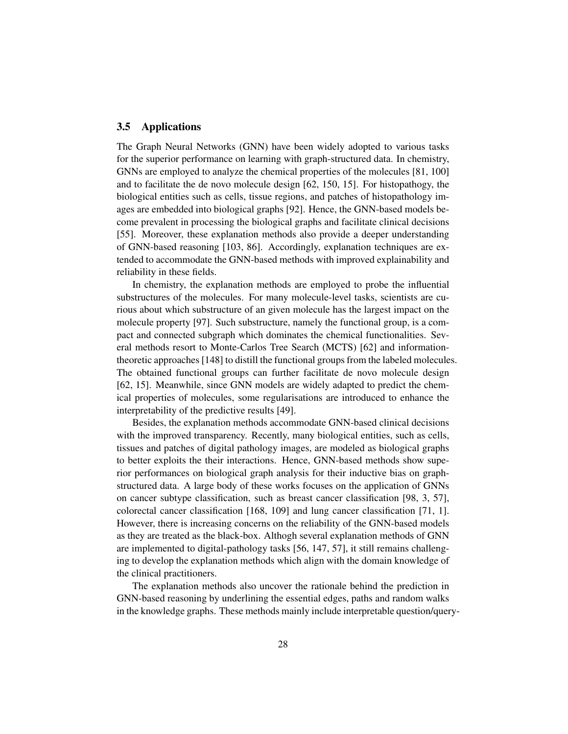#### 3.5 Applications

The Graph Neural Networks (GNN) have been widely adopted to various tasks for the superior performance on learning with graph-structured data. In chemistry, GNNs are employed to analyze the chemical properties of the molecules [\[81,](#page-44-6) [100\]](#page-46-0) and to facilitate the de novo molecule design [\[62,](#page-42-10) [150,](#page-51-4) [15\]](#page-37-7). For histopathogy, the biological entities such as cells, tissue regions, and patches of histopathology images are embedded into biological graphs [\[92\]](#page-45-5). Hence, the GNN-based models become prevalent in processing the biological graphs and facilitate clinical decisions [\[55\]](#page-41-5). Moreover, these explanation methods also provide a deeper understanding of GNN-based reasoning [\[103,](#page-46-6) [86\]](#page-44-7). Accordingly, explanation techniques are extended to accommodate the GNN-based methods with improved explainability and reliability in these fields.

In chemistry, the explanation methods are employed to probe the influential substructures of the molecules. For many molecule-level tasks, scientists are curious about which substructure of an given molecule has the largest impact on the molecule property [\[97\]](#page-45-6). Such substructure, namely the functional group, is a compact and connected subgraph which dominates the chemical functionalities. Several methods resort to Monte-Carlos Tree Search (MCTS) [\[62\]](#page-42-10) and informationtheoretic approaches [\[148\]](#page-51-5) to distill the functional groups from the labeled molecules. The obtained functional groups can further facilitate de novo molecule design [\[62,](#page-42-10) [15\]](#page-37-7). Meanwhile, since GNN models are widely adapted to predict the chemical properties of molecules, some regularisations are introduced to enhance the interpretability of the predictive results [\[49\]](#page-41-6).

Besides, the explanation methods accommodate GNN-based clinical decisions with the improved transparency. Recently, many biological entities, such as cells, tissues and patches of digital pathology images, are modeled as biological graphs to better exploits the their interactions. Hence, GNN-based methods show superior performances on biological graph analysis for their inductive bias on graphstructured data. A large body of these works focuses on the application of GNNs on cancer subtype classification, such as breast cancer classification [\[98,](#page-46-7) [3,](#page-36-9) [57\]](#page-41-7), colorectal cancer classification [\[168,](#page-53-3) [109\]](#page-47-7) and lung cancer classification [\[71,](#page-43-9) [1\]](#page-35-1). However, there is increasing concerns on the reliability of the GNN-based models as they are treated as the black-box. Althogh several explanation methods of GNN are implemented to digital-pathology tasks [\[56,](#page-41-3) [147,](#page-50-5) [57\]](#page-41-7), it still remains challenging to develop the explanation methods which align with the domain knowledge of the clinical practitioners.

The explanation methods also uncover the rationale behind the prediction in GNN-based reasoning by underlining the essential edges, paths and random walks in the knowledge graphs. These methods mainly include interpretable question/query-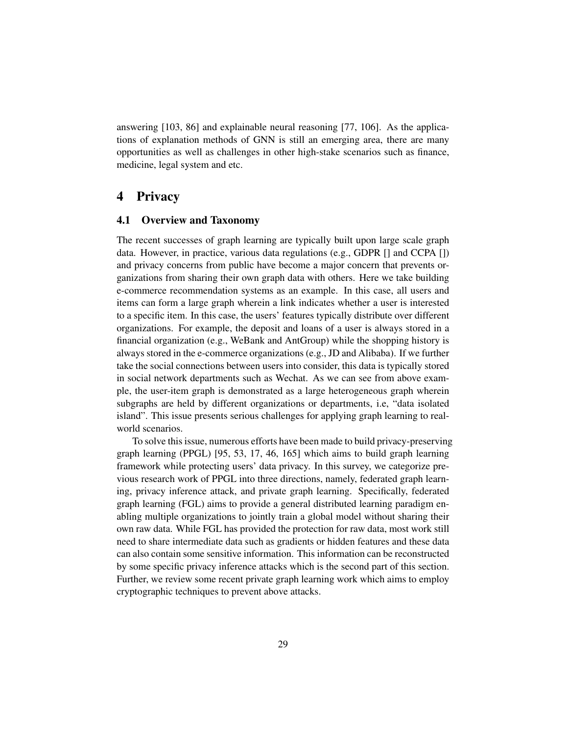answering [\[103,](#page-46-6) [86\]](#page-44-7) and explainable neural reasoning [\[77,](#page-43-10) [106\]](#page-46-8). As the applications of explanation methods of GNN is still an emerging area, there are many opportunities as well as challenges in other high-stake scenarios such as finance, medicine, legal system and etc.

# <span id="page-28-0"></span>4 Privacy

#### 4.1 Overview and Taxonomy

The recent successes of graph learning are typically built upon large scale graph data. However, in practice, various data regulations (e.g., GDPR [] and CCPA []) and privacy concerns from public have become a major concern that prevents organizations from sharing their own graph data with others. Here we take building e-commerce recommendation systems as an example. In this case, all users and items can form a large graph wherein a link indicates whether a user is interested to a specific item. In this case, the users' features typically distribute over different organizations. For example, the deposit and loans of a user is always stored in a financial organization (e.g., WeBank and AntGroup) while the shopping history is always stored in the e-commerce organizations (e.g., JD and Alibaba). If we further take the social connections between users into consider, this data is typically stored in social network departments such as Wechat. As we can see from above example, the user-item graph is demonstrated as a large heterogeneous graph wherein subgraphs are held by different organizations or departments, i.e, "data isolated island". This issue presents serious challenges for applying graph learning to realworld scenarios.

To solve this issue, numerous efforts have been made to build privacy-preserving graph learning (PPGL) [\[95,](#page-45-7) [53,](#page-41-8) [17,](#page-37-8) [46,](#page-40-7) [165\]](#page-52-6) which aims to build graph learning framework while protecting users' data privacy. In this survey, we categorize previous research work of PPGL into three directions, namely, federated graph learning, privacy inference attack, and private graph learning. Specifically, federated graph learning (FGL) aims to provide a general distributed learning paradigm enabling multiple organizations to jointly train a global model without sharing their own raw data. While FGL has provided the protection for raw data, most work still need to share intermediate data such as gradients or hidden features and these data can also contain some sensitive information. This information can be reconstructed by some specific privacy inference attacks which is the second part of this section. Further, we review some recent private graph learning work which aims to employ cryptographic techniques to prevent above attacks.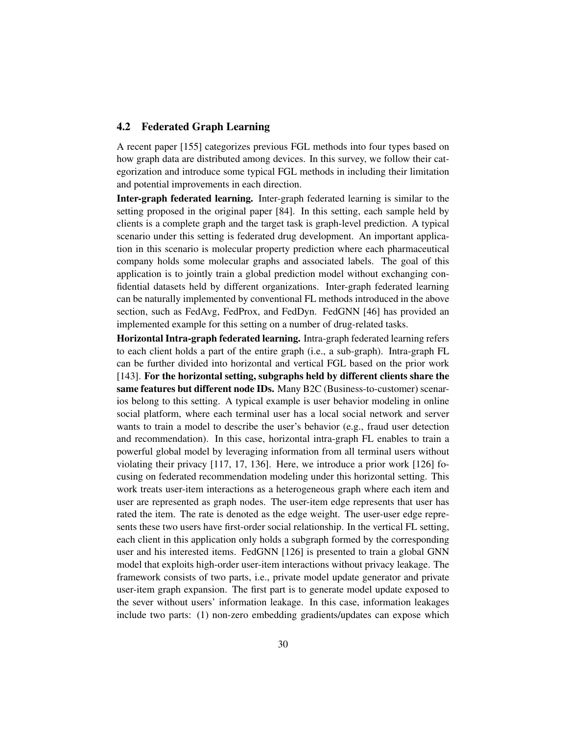#### <span id="page-29-0"></span>4.2 Federated Graph Learning

A recent paper [\[155\]](#page-51-9) categorizes previous FGL methods into four types based on how graph data are distributed among devices. In this survey, we follow their categorization and introduce some typical FGL methods in including their limitation and potential improvements in each direction.

Inter-graph federated learning. Inter-graph federated learning is similar to the setting proposed in the original paper [\[84\]](#page-44-8). In this setting, each sample held by clients is a complete graph and the target task is graph-level prediction. A typical scenario under this setting is federated drug development. An important application in this scenario is molecular property prediction where each pharmaceutical company holds some molecular graphs and associated labels. The goal of this application is to jointly train a global prediction model without exchanging confidential datasets held by different organizations. Inter-graph federated learning can be naturally implemented by conventional FL methods introduced in the above section, such as FedAvg, FedProx, and FedDyn. FedGNN [\[46\]](#page-40-7) has provided an implemented example for this setting on a number of drug-related tasks.

Horizontal Intra-graph federated learning. Intra-graph federated learning refers to each client holds a part of the entire graph (i.e., a sub-graph). Intra-graph FL can be further divided into horizontal and vertical FGL based on the prior work [\[143\]](#page-50-9). For the horizontal setting, subgraphs held by different clients share the same features but different node IDs. Many B2C (Business-to-customer) scenarios belong to this setting. A typical example is user behavior modeling in online social platform, where each terminal user has a local social network and server wants to train a model to describe the user's behavior (e.g., fraud user detection and recommendation). In this case, horizontal intra-graph FL enables to train a powerful global model by leveraging information from all terminal users without violating their privacy [\[117,](#page-47-8) [17,](#page-37-8) [136\]](#page-49-9). Here, we introduce a prior work [\[126\]](#page-48-0) focusing on federated recommendation modeling under this horizontal setting. This work treats user-item interactions as a heterogeneous graph where each item and user are represented as graph nodes. The user-item edge represents that user has rated the item. The rate is denoted as the edge weight. The user-user edge represents these two users have first-order social relationship. In the vertical FL setting, each client in this application only holds a subgraph formed by the corresponding user and his interested items. FedGNN [\[126\]](#page-48-0) is presented to train a global GNN model that exploits high-order user-item interactions without privacy leakage. The framework consists of two parts, i.e., private model update generator and private user-item graph expansion. The first part is to generate model update exposed to the sever without users' information leakage. In this case, information leakages include two parts: (1) non-zero embedding gradients/updates can expose which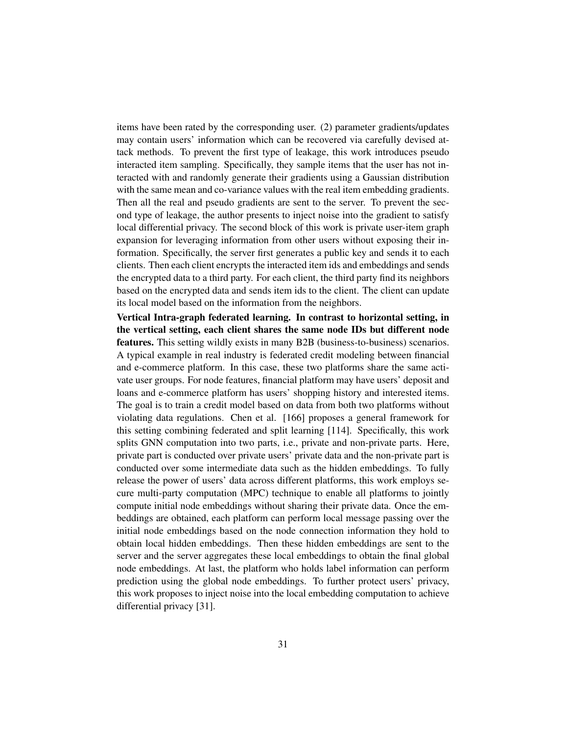items have been rated by the corresponding user. (2) parameter gradients/updates may contain users' information which can be recovered via carefully devised attack methods. To prevent the first type of leakage, this work introduces pseudo interacted item sampling. Specifically, they sample items that the user has not interacted with and randomly generate their gradients using a Gaussian distribution with the same mean and co-variance values with the real item embedding gradients. Then all the real and pseudo gradients are sent to the server. To prevent the second type of leakage, the author presents to inject noise into the gradient to satisfy local differential privacy. The second block of this work is private user-item graph expansion for leveraging information from other users without exposing their information. Specifically, the server first generates a public key and sends it to each clients. Then each client encrypts the interacted item ids and embeddings and sends the encrypted data to a third party. For each client, the third party find its neighbors based on the encrypted data and sends item ids to the client. The client can update its local model based on the information from the neighbors.

Vertical Intra-graph federated learning. In contrast to horizontal setting, in the vertical setting, each client shares the same node IDs but different node features. This setting wildly exists in many B2B (business-to-business) scenarios. A typical example in real industry is federated credit modeling between financial and e-commerce platform. In this case, these two platforms share the same activate user groups. For node features, financial platform may have users' deposit and loans and e-commerce platform has users' shopping history and interested items. The goal is to train a credit model based on data from both two platforms without violating data regulations. Chen et al. [\[166\]](#page-52-7) proposes a general framework for this setting combining federated and split learning [\[114\]](#page-47-9). Specifically, this work splits GNN computation into two parts, i.e., private and non-private parts. Here, private part is conducted over private users' private data and the non-private part is conducted over some intermediate data such as the hidden embeddings. To fully release the power of users' data across different platforms, this work employs secure multi-party computation (MPC) technique to enable all platforms to jointly compute initial node embeddings without sharing their private data. Once the embeddings are obtained, each platform can perform local message passing over the initial node embeddings based on the node connection information they hold to obtain local hidden embeddings. Then these hidden embeddings are sent to the server and the server aggregates these local embeddings to obtain the final global node embeddings. At last, the platform who holds label information can perform prediction using the global node embeddings. To further protect users' privacy, this work proposes to inject noise into the local embedding computation to achieve differential privacy [\[31\]](#page-39-7).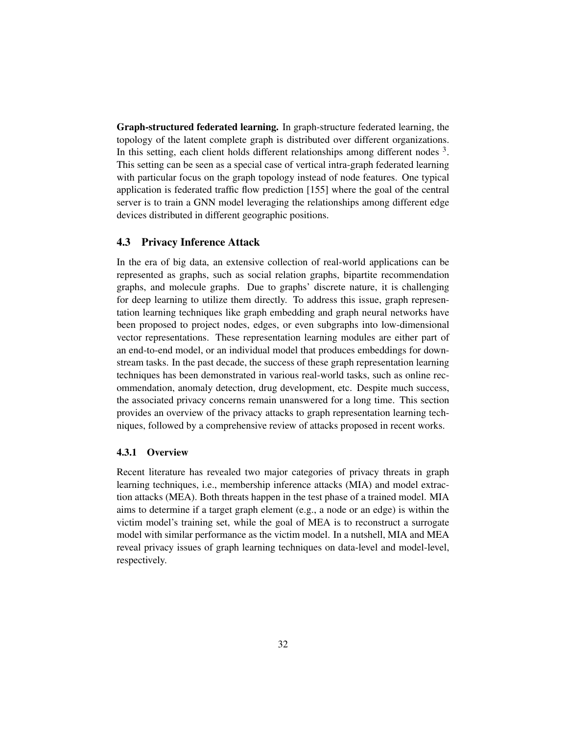Graph-structured federated learning. In graph-structure federated learning, the topology of the latent complete graph is distributed over different organizations. In this setting, each client holds different relationships among different nodes  $3$ . This setting can be seen as a special case of vertical intra-graph federated learning with particular focus on the graph topology instead of node features. One typical application is federated traffic flow prediction [\[155\]](#page-51-9) where the goal of the central server is to train a GNN model leveraging the relationships among different edge devices distributed in different geographic positions.

## 4.3 Privacy Inference Attack

In the era of big data, an extensive collection of real-world applications can be represented as graphs, such as social relation graphs, bipartite recommendation graphs, and molecule graphs. Due to graphs' discrete nature, it is challenging for deep learning to utilize them directly. To address this issue, graph representation learning techniques like graph embedding and graph neural networks have been proposed to project nodes, edges, or even subgraphs into low-dimensional vector representations. These representation learning modules are either part of an end-to-end model, or an individual model that produces embeddings for downstream tasks. In the past decade, the success of these graph representation learning techniques has been demonstrated in various real-world tasks, such as online recommendation, anomaly detection, drug development, etc. Despite much success, the associated privacy concerns remain unanswered for a long time. This section provides an overview of the privacy attacks to graph representation learning techniques, followed by a comprehensive review of attacks proposed in recent works.

#### 4.3.1 Overview

Recent literature has revealed two major categories of privacy threats in graph learning techniques, i.e., membership inference attacks (MIA) and model extraction attacks (MEA). Both threats happen in the test phase of a trained model. MIA aims to determine if a target graph element (e.g., a node or an edge) is within the victim model's training set, while the goal of MEA is to reconstruct a surrogate model with similar performance as the victim model. In a nutshell, MIA and MEA reveal privacy issues of graph learning techniques on data-level and model-level, respectively.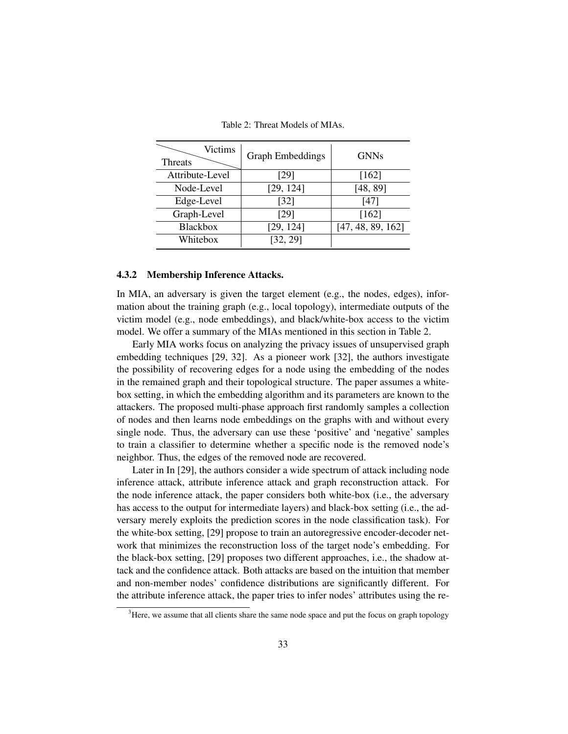<span id="page-32-1"></span>

| Victims<br><b>Threats</b> | <b>Graph Embeddings</b> | <b>GNNs</b>       |
|---------------------------|-------------------------|-------------------|
| Attribute-Level           | [29]                    | [162]             |
| Node-Level                | [29, 124]               | [48, 89]          |
| Edge-Level                | $[32]$                  | $[47]$            |
| Graph-Level               | [29]                    | [162]             |
| <b>Blackbox</b>           | [29, 124]               | [47, 48, 89, 162] |
| Whitebox                  | [32, 29]                |                   |

Table 2: Threat Models of MIAs.

#### 4.3.2 Membership Inference Attacks.

In MIA, an adversary is given the target element (e.g., the nodes, edges), information about the training graph (e.g., local topology), intermediate outputs of the victim model (e.g., node embeddings), and black/white-box access to the victim model. We offer a summary of the MIAs mentioned in this section in Table [2.](#page-32-1)

Early MIA works focus on analyzing the privacy issues of unsupervised graph embedding techniques [\[29,](#page-39-8) [32\]](#page-39-9). As a pioneer work [\[32\]](#page-39-9), the authors investigate the possibility of recovering edges for a node using the embedding of the nodes in the remained graph and their topological structure. The paper assumes a whitebox setting, in which the embedding algorithm and its parameters are known to the attackers. The proposed multi-phase approach first randomly samples a collection of nodes and then learns node embeddings on the graphs with and without every single node. Thus, the adversary can use these 'positive' and 'negative' samples to train a classifier to determine whether a specific node is the removed node's neighbor. Thus, the edges of the removed node are recovered.

Later in In [\[29\]](#page-39-8), the authors consider a wide spectrum of attack including node inference attack, attribute inference attack and graph reconstruction attack. For the node inference attack, the paper considers both white-box (i.e., the adversary has access to the output for intermediate layers) and black-box setting (i.e., the adversary merely exploits the prediction scores in the node classification task). For the white-box setting, [\[29\]](#page-39-8) propose to train an autoregressive encoder-decoder network that minimizes the reconstruction loss of the target node's embedding. For the black-box setting, [\[29\]](#page-39-8) proposes two different approaches, i.e., the shadow attack and the confidence attack. Both attacks are based on the intuition that member and non-member nodes' confidence distributions are significantly different. For the attribute inference attack, the paper tries to infer nodes' attributes using the re-

<span id="page-32-0"></span> $3$ Here, we assume that all clients share the same node space and put the focus on graph topology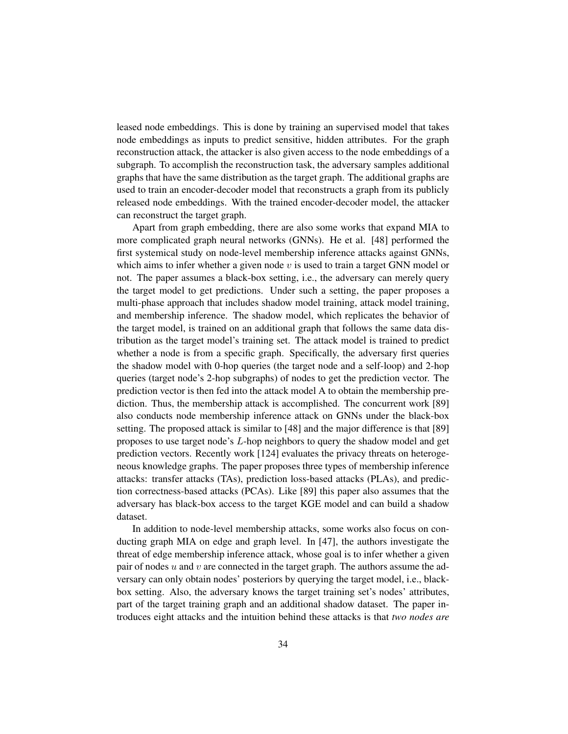leased node embeddings. This is done by training an supervised model that takes node embeddings as inputs to predict sensitive, hidden attributes. For the graph reconstruction attack, the attacker is also given access to the node embeddings of a subgraph. To accomplish the reconstruction task, the adversary samples additional graphs that have the same distribution as the target graph. The additional graphs are used to train an encoder-decoder model that reconstructs a graph from its publicly released node embeddings. With the trained encoder-decoder model, the attacker can reconstruct the target graph.

Apart from graph embedding, there are also some works that expand MIA to more complicated graph neural networks (GNNs). He et al. [\[48\]](#page-41-9) performed the first systemical study on node-level membership inference attacks against GNNs, which aims to infer whether a given node  $v$  is used to train a target GNN model or not. The paper assumes a black-box setting, i.e., the adversary can merely query the target model to get predictions. Under such a setting, the paper proposes a multi-phase approach that includes shadow model training, attack model training, and membership inference. The shadow model, which replicates the behavior of the target model, is trained on an additional graph that follows the same data distribution as the target model's training set. The attack model is trained to predict whether a node is from a specific graph. Specifically, the adversary first queries the shadow model with 0-hop queries (the target node and a self-loop) and 2-hop queries (target node's 2-hop subgraphs) of nodes to get the prediction vector. The prediction vector is then fed into the attack model A to obtain the membership prediction. Thus, the membership attack is accomplished. The concurrent work [\[89\]](#page-45-8) also conducts node membership inference attack on GNNs under the black-box setting. The proposed attack is similar to [\[48\]](#page-41-9) and the major difference is that [\[89\]](#page-45-8) proposes to use target node's L-hop neighbors to query the shadow model and get prediction vectors. Recently work [\[124\]](#page-48-8) evaluates the privacy threats on heterogeneous knowledge graphs. The paper proposes three types of membership inference attacks: transfer attacks (TAs), prediction loss-based attacks (PLAs), and prediction correctness-based attacks (PCAs). Like [\[89\]](#page-45-8) this paper also assumes that the adversary has black-box access to the target KGE model and can build a shadow dataset.

In addition to node-level membership attacks, some works also focus on conducting graph MIA on edge and graph level. In [\[47\]](#page-40-8), the authors investigate the threat of edge membership inference attack, whose goal is to infer whether a given pair of nodes  $u$  and  $v$  are connected in the target graph. The authors assume the adversary can only obtain nodes' posteriors by querying the target model, i.e., blackbox setting. Also, the adversary knows the target training set's nodes' attributes, part of the target training graph and an additional shadow dataset. The paper introduces eight attacks and the intuition behind these attacks is that *two nodes are*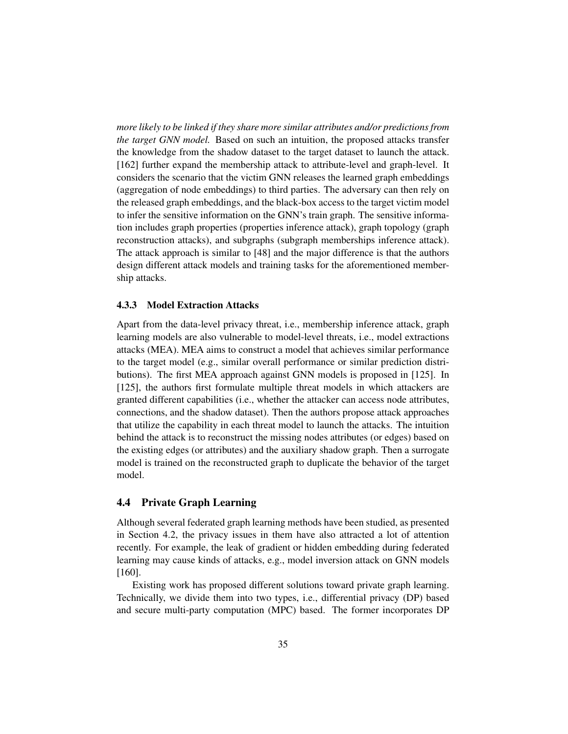*more likely to be linked if they share more similar attributes and/or predictions from the target GNN model.* Based on such an intuition, the proposed attacks transfer the knowledge from the shadow dataset to the target dataset to launch the attack. [\[162\]](#page-52-8) further expand the membership attack to attribute-level and graph-level. It considers the scenario that the victim GNN releases the learned graph embeddings (aggregation of node embeddings) to third parties. The adversary can then rely on the released graph embeddings, and the black-box access to the target victim model to infer the sensitive information on the GNN's train graph. The sensitive information includes graph properties (properties inference attack), graph topology (graph reconstruction attacks), and subgraphs (subgraph memberships inference attack). The attack approach is similar to [\[48\]](#page-41-9) and the major difference is that the authors design different attack models and training tasks for the aforementioned membership attacks.

#### 4.3.3 Model Extraction Attacks

Apart from the data-level privacy threat, i.e., membership inference attack, graph learning models are also vulnerable to model-level threats, i.e., model extractions attacks (MEA). MEA aims to construct a model that achieves similar performance to the target model (e.g., similar overall performance or similar prediction distributions). The first MEA approach against GNN models is proposed in [\[125\]](#page-48-9). In [\[125\]](#page-48-9), the authors first formulate multiple threat models in which attackers are granted different capabilities (i.e., whether the attacker can access node attributes, connections, and the shadow dataset). Then the authors propose attack approaches that utilize the capability in each threat model to launch the attacks. The intuition behind the attack is to reconstruct the missing nodes attributes (or edges) based on the existing edges (or attributes) and the auxiliary shadow graph. Then a surrogate model is trained on the reconstructed graph to duplicate the behavior of the target model.

#### 4.4 Private Graph Learning

Although several federated graph learning methods have been studied, as presented in Section [4.2,](#page-29-0) the privacy issues in them have also attracted a lot of attention recently. For example, the leak of gradient or hidden embedding during federated learning may cause kinds of attacks, e.g., model inversion attack on GNN models [\[160\]](#page-52-9).

Existing work has proposed different solutions toward private graph learning. Technically, we divide them into two types, i.e., differential privacy (DP) based and secure multi-party computation (MPC) based. The former incorporates DP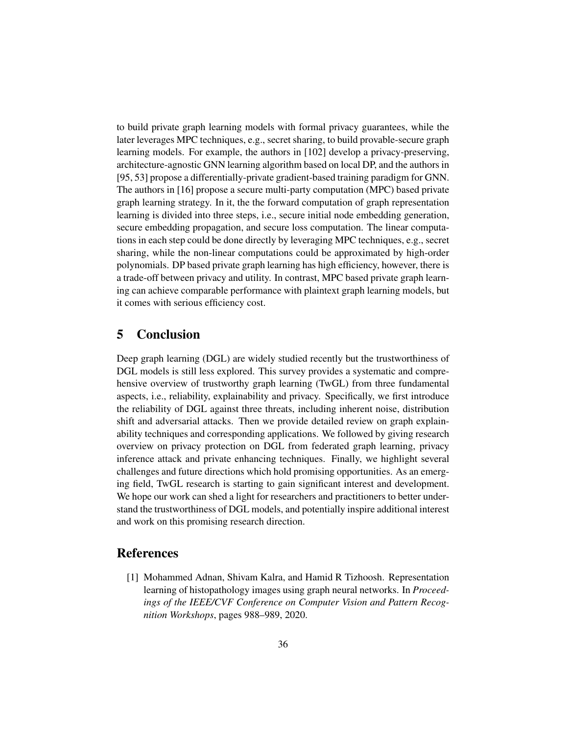to build private graph learning models with formal privacy guarantees, while the later leverages MPC techniques, e.g., secret sharing, to build provable-secure graph learning models. For example, the authors in [\[102\]](#page-46-9) develop a privacy-preserving, architecture-agnostic GNN learning algorithm based on local DP, and the authors in [\[95,](#page-45-7) [53\]](#page-41-8) propose a differentially-private gradient-based training paradigm for GNN. The authors in [\[16\]](#page-37-2) propose a secure multi-party computation (MPC) based private graph learning strategy. In it, the the forward computation of graph representation learning is divided into three steps, i.e., secure initial node embedding generation, secure embedding propagation, and secure loss computation. The linear computations in each step could be done directly by leveraging MPC techniques, e.g., secret sharing, while the non-linear computations could be approximated by high-order polynomials. DP based private graph learning has high efficiency, however, there is a trade-off between privacy and utility. In contrast, MPC based private graph learning can achieve comparable performance with plaintext graph learning models, but it comes with serious efficiency cost.

# <span id="page-35-0"></span>5 Conclusion

Deep graph learning (DGL) are widely studied recently but the trustworthiness of DGL models is still less explored. This survey provides a systematic and comprehensive overview of trustworthy graph learning (TwGL) from three fundamental aspects, i.e., reliability, explainability and privacy. Specifically, we first introduce the reliability of DGL against three threats, including inherent noise, distribution shift and adversarial attacks. Then we provide detailed review on graph explainability techniques and corresponding applications. We followed by giving research overview on privacy protection on DGL from federated graph learning, privacy inference attack and private enhancing techniques. Finally, we highlight several challenges and future directions which hold promising opportunities. As an emerging field, TwGL research is starting to gain significant interest and development. We hope our work can shed a light for researchers and practitioners to better understand the trustworthiness of DGL models, and potentially inspire additional interest and work on this promising research direction.

# **References**

<span id="page-35-1"></span>[1] Mohammed Adnan, Shivam Kalra, and Hamid R Tizhoosh. Representation learning of histopathology images using graph neural networks. In *Proceedings of the IEEE/CVF Conference on Computer Vision and Pattern Recognition Workshops*, pages 988–989, 2020.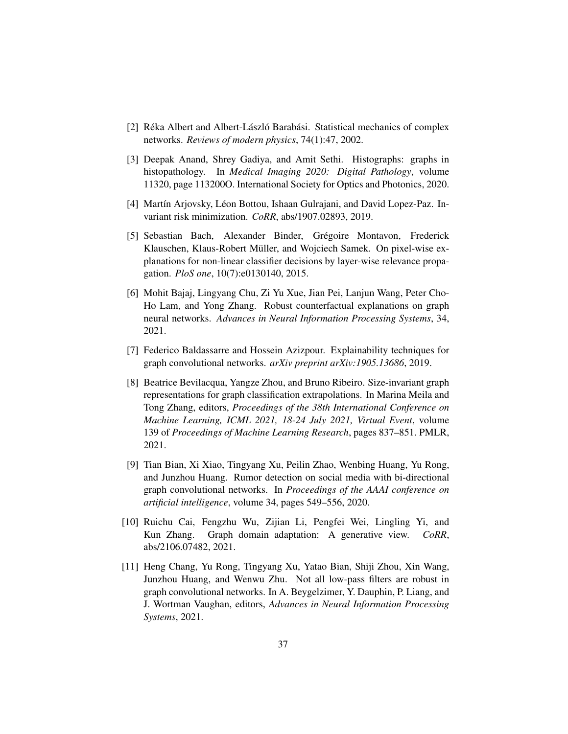- <span id="page-36-8"></span>[2] Réka Albert and Albert-László Barabási. Statistical mechanics of complex networks. *Reviews of modern physics*, 74(1):47, 2002.
- <span id="page-36-9"></span>[3] Deepak Anand, Shrey Gadiya, and Amit Sethi. Histographs: graphs in histopathology. In *Medical Imaging 2020: Digital Pathology*, volume 11320, page 113200O. International Society for Optics and Photonics, 2020.
- <span id="page-36-2"></span>[4] Martín Arjovsky, Léon Bottou, Ishaan Gulrajani, and David Lopez-Paz. Invariant risk minimization. *CoRR*, abs/1907.02893, 2019.
- <span id="page-36-5"></span>[5] Sebastian Bach, Alexander Binder, Gregoire Montavon, Frederick ´ Klauschen, Klaus-Robert Müller, and Wojciech Samek. On pixel-wise explanations for non-linear classifier decisions by layer-wise relevance propagation. *PloS one*, 10(7):e0130140, 2015.
- <span id="page-36-7"></span>[6] Mohit Bajaj, Lingyang Chu, Zi Yu Xue, Jian Pei, Lanjun Wang, Peter Cho-Ho Lam, and Yong Zhang. Robust counterfactual explanations on graph neural networks. *Advances in Neural Information Processing Systems*, 34, 2021.
- <span id="page-36-6"></span>[7] Federico Baldassarre and Hossein Azizpour. Explainability techniques for graph convolutional networks. *arXiv preprint arXiv:1905.13686*, 2019.
- <span id="page-36-1"></span>[8] Beatrice Bevilacqua, Yangze Zhou, and Bruno Ribeiro. Size-invariant graph representations for graph classification extrapolations. In Marina Meila and Tong Zhang, editors, *Proceedings of the 38th International Conference on Machine Learning, ICML 2021, 18-24 July 2021, Virtual Event*, volume 139 of *Proceedings of Machine Learning Research*, pages 837–851. PMLR, 2021.
- <span id="page-36-0"></span>[9] Tian Bian, Xi Xiao, Tingyang Xu, Peilin Zhao, Wenbing Huang, Yu Rong, and Junzhou Huang. Rumor detection on social media with bi-directional graph convolutional networks. In *Proceedings of the AAAI conference on artificial intelligence*, volume 34, pages 549–556, 2020.
- <span id="page-36-3"></span>[10] Ruichu Cai, Fengzhu Wu, Zijian Li, Pengfei Wei, Lingling Yi, and Kun Zhang. Graph domain adaptation: A generative view. *CoRR*, abs/2106.07482, 2021.
- <span id="page-36-4"></span>[11] Heng Chang, Yu Rong, Tingyang Xu, Yatao Bian, Shiji Zhou, Xin Wang, Junzhou Huang, and Wenwu Zhu. Not all low-pass filters are robust in graph convolutional networks. In A. Beygelzimer, Y. Dauphin, P. Liang, and J. Wortman Vaughan, editors, *Advances in Neural Information Processing Systems*, 2021.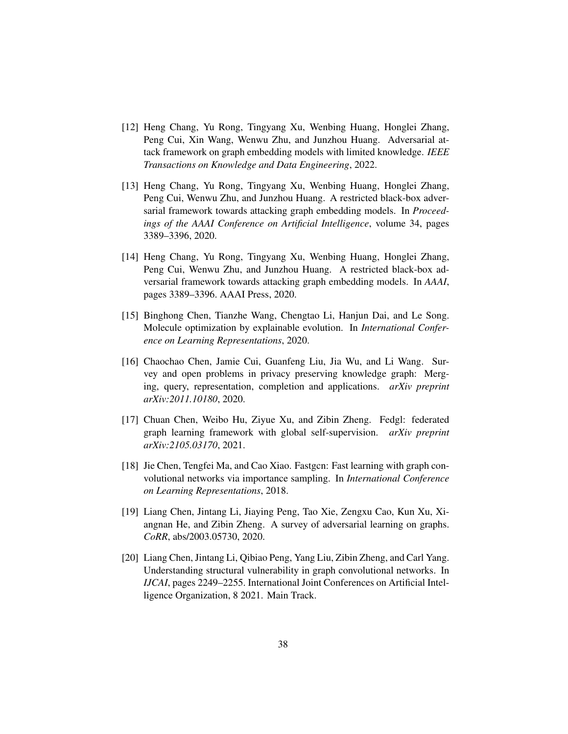- <span id="page-37-6"></span>[12] Heng Chang, Yu Rong, Tingyang Xu, Wenbing Huang, Honglei Zhang, Peng Cui, Xin Wang, Wenwu Zhu, and Junzhou Huang. Adversarial attack framework on graph embedding models with limited knowledge. *IEEE Transactions on Knowledge and Data Engineering*, 2022.
- <span id="page-37-1"></span>[13] Heng Chang, Yu Rong, Tingyang Xu, Wenbing Huang, Honglei Zhang, Peng Cui, Wenwu Zhu, and Junzhou Huang. A restricted black-box adversarial framework towards attacking graph embedding models. In *Proceedings of the AAAI Conference on Artificial Intelligence*, volume 34, pages 3389–3396, 2020.
- <span id="page-37-5"></span>[14] Heng Chang, Yu Rong, Tingyang Xu, Wenbing Huang, Honglei Zhang, Peng Cui, Wenwu Zhu, and Junzhou Huang. A restricted black-box adversarial framework towards attacking graph embedding models. In *AAAI*, pages 3389–3396. AAAI Press, 2020.
- <span id="page-37-7"></span>[15] Binghong Chen, Tianzhe Wang, Chengtao Li, Hanjun Dai, and Le Song. Molecule optimization by explainable evolution. In *International Conference on Learning Representations*, 2020.
- <span id="page-37-2"></span>[16] Chaochao Chen, Jamie Cui, Guanfeng Liu, Jia Wu, and Li Wang. Survey and open problems in privacy preserving knowledge graph: Merging, query, representation, completion and applications. *arXiv preprint arXiv:2011.10180*, 2020.
- <span id="page-37-8"></span>[17] Chuan Chen, Weibo Hu, Ziyue Xu, and Zibin Zheng. Fedgl: federated graph learning framework with global self-supervision. *arXiv preprint arXiv:2105.03170*, 2021.
- <span id="page-37-4"></span>[18] Jie Chen, Tengfei Ma, and Cao Xiao. Fastgcn: Fast learning with graph convolutional networks via importance sampling. In *International Conference on Learning Representations*, 2018.
- <span id="page-37-0"></span>[19] Liang Chen, Jintang Li, Jiaying Peng, Tao Xie, Zengxu Cao, Kun Xu, Xiangnan He, and Zibin Zheng. A survey of adversarial learning on graphs. *CoRR*, abs/2003.05730, 2020.
- <span id="page-37-3"></span>[20] Liang Chen, Jintang Li, Qibiao Peng, Yang Liu, Zibin Zheng, and Carl Yang. Understanding structural vulnerability in graph convolutional networks. In *IJCAI*, pages 2249–2255. International Joint Conferences on Artificial Intelligence Organization, 8 2021. Main Track.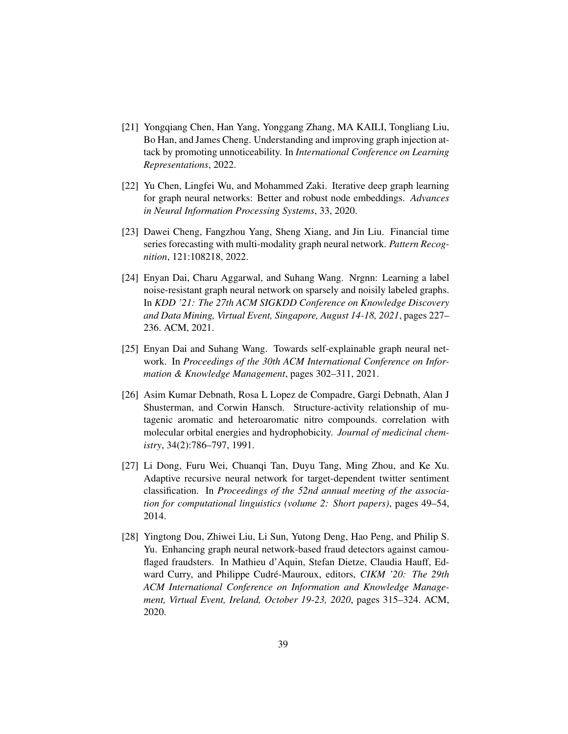- <span id="page-38-3"></span>[21] Yongqiang Chen, Han Yang, Yonggang Zhang, MA KAILI, Tongliang Liu, Bo Han, and James Cheng. Understanding and improving graph injection attack by promoting unnoticeability. In *International Conference on Learning Representations*, 2022.
- <span id="page-38-2"></span>[22] Yu Chen, Lingfei Wu, and Mohammed Zaki. Iterative deep graph learning for graph neural networks: Better and robust node embeddings. *Advances in Neural Information Processing Systems*, 33, 2020.
- <span id="page-38-4"></span>[23] Dawei Cheng, Fangzhou Yang, Sheng Xiang, and Jin Liu. Financial time series forecasting with multi-modality graph neural network. *Pattern Recognition*, 121:108218, 2022.
- <span id="page-38-1"></span>[24] Enyan Dai, Charu Aggarwal, and Suhang Wang. Nrgnn: Learning a label noise-resistant graph neural network on sparsely and noisily labeled graphs. In *KDD '21: The 27th ACM SIGKDD Conference on Knowledge Discovery and Data Mining, Virtual Event, Singapore, August 14-18, 2021*, pages 227– 236. ACM, 2021.
- <span id="page-38-5"></span>[25] Enyan Dai and Suhang Wang. Towards self-explainable graph neural network. In *Proceedings of the 30th ACM International Conference on Information & Knowledge Management*, pages 302–311, 2021.
- <span id="page-38-7"></span>[26] Asim Kumar Debnath, Rosa L Lopez de Compadre, Gargi Debnath, Alan J Shusterman, and Corwin Hansch. Structure-activity relationship of mutagenic aromatic and heteroaromatic nitro compounds. correlation with molecular orbital energies and hydrophobicity. *Journal of medicinal chemistry*, 34(2):786–797, 1991.
- <span id="page-38-6"></span>[27] Li Dong, Furu Wei, Chuanqi Tan, Duyu Tang, Ming Zhou, and Ke Xu. Adaptive recursive neural network for target-dependent twitter sentiment classification. In *Proceedings of the 52nd annual meeting of the association for computational linguistics (volume 2: Short papers)*, pages 49–54, 2014.
- <span id="page-38-0"></span>[28] Yingtong Dou, Zhiwei Liu, Li Sun, Yutong Deng, Hao Peng, and Philip S. Yu. Enhancing graph neural network-based fraud detectors against camouflaged fraudsters. In Mathieu d'Aquin, Stefan Dietze, Claudia Hauff, Edward Curry, and Philippe Cudré-Mauroux, editors, *CIKM '20: The 29th ACM International Conference on Information and Knowledge Management, Virtual Event, Ireland, October 19-23, 2020*, pages 315–324. ACM, 2020.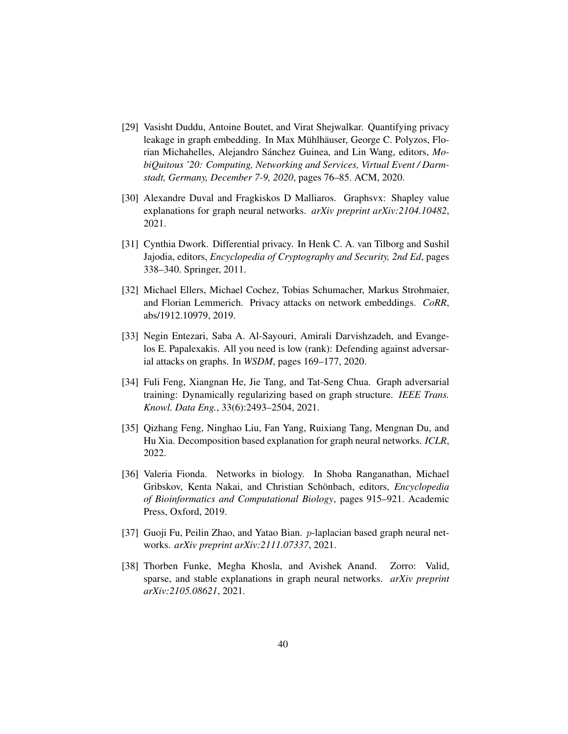- <span id="page-39-8"></span>[29] Vasisht Duddu, Antoine Boutet, and Virat Shejwalkar. Quantifying privacy leakage in graph embedding. In Max Mühlhäuser, George C. Polyzos, Florian Michahelles, Alejandro Sánchez Guinea, and Lin Wang, editors, Mo*biQuitous '20: Computing, Networking and Services, Virtual Event / Darmstadt, Germany, December 7-9, 2020*, pages 76–85. ACM, 2020.
- <span id="page-39-5"></span>[30] Alexandre Duval and Fragkiskos D Malliaros. Graphsvx: Shapley value explanations for graph neural networks. *arXiv preprint arXiv:2104.10482*, 2021.
- <span id="page-39-7"></span>[31] Cynthia Dwork. Differential privacy. In Henk C. A. van Tilborg and Sushil Jajodia, editors, *Encyclopedia of Cryptography and Security, 2nd Ed*, pages 338–340. Springer, 2011.
- <span id="page-39-9"></span>[32] Michael Ellers, Michael Cochez, Tobias Schumacher, Markus Strohmaier, and Florian Lemmerich. Privacy attacks on network embeddings. *CoRR*, abs/1912.10979, 2019.
- <span id="page-39-0"></span>[33] Negin Entezari, Saba A. Al-Sayouri, Amirali Darvishzadeh, and Evangelos E. Papalexakis. All you need is low (rank): Defending against adversarial attacks on graphs. In *WSDM*, pages 169–177, 2020.
- <span id="page-39-1"></span>[34] Fuli Feng, Xiangnan He, Jie Tang, and Tat-Seng Chua. Graph adversarial training: Dynamically regularizing based on graph structure. *IEEE Trans. Knowl. Data Eng.*, 33(6):2493–2504, 2021.
- <span id="page-39-4"></span>[35] Qizhang Feng, Ninghao Liu, Fan Yang, Ruixiang Tang, Mengnan Du, and Hu Xia. Decomposition based explanation for graph neural networks. *ICLR*, 2022.
- <span id="page-39-2"></span>[36] Valeria Fionda. Networks in biology. In Shoba Ranganathan, Michael Gribskov, Kenta Nakai, and Christian Schönbach, editors, *Encyclopedia of Bioinformatics and Computational Biology*, pages 915–921. Academic Press, Oxford, 2019.
- <span id="page-39-3"></span>[37] Guoji Fu, Peilin Zhao, and Yatao Bian. p-laplacian based graph neural networks. *arXiv preprint arXiv:2111.07337*, 2021.
- <span id="page-39-6"></span>[38] Thorben Funke, Megha Khosla, and Avishek Anand. Zorro: Valid, sparse, and stable explanations in graph neural networks. *arXiv preprint arXiv:2105.08621*, 2021.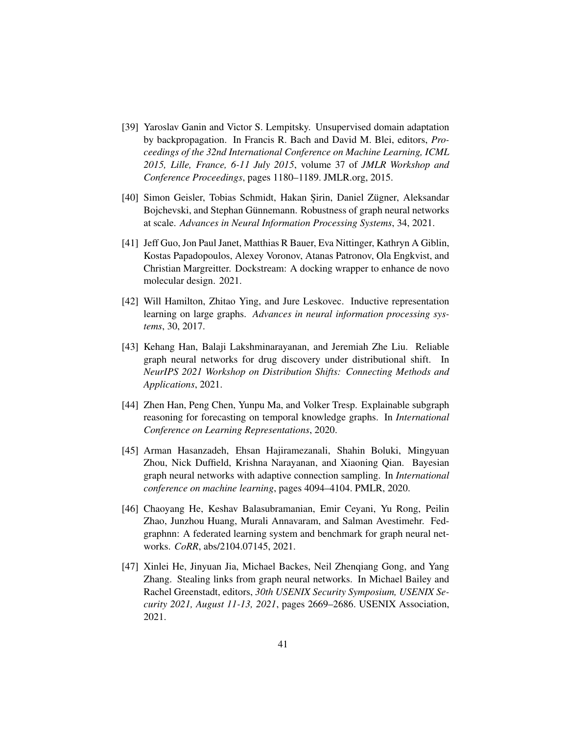- <span id="page-40-5"></span>[39] Yaroslav Ganin and Victor S. Lempitsky. Unsupervised domain adaptation by backpropagation. In Francis R. Bach and David M. Blei, editors, *Proceedings of the 32nd International Conference on Machine Learning, ICML 2015, Lille, France, 6-11 July 2015*, volume 37 of *JMLR Workshop and Conference Proceedings*, pages 1180–1189. JMLR.org, 2015.
- <span id="page-40-2"></span>[40] Simon Geisler, Tobias Schmidt, Hakan Sirin, Daniel Zügner, Aleksandar Bojchevski, and Stephan Günnemann. Robustness of graph neural networks at scale. *Advances in Neural Information Processing Systems*, 34, 2021.
- <span id="page-40-0"></span>[41] Jeff Guo, Jon Paul Janet, Matthias R Bauer, Eva Nittinger, Kathryn A Giblin, Kostas Papadopoulos, Alexey Voronov, Atanas Patronov, Ola Engkvist, and Christian Margreitter. Dockstream: A docking wrapper to enhance de novo molecular design. 2021.
- <span id="page-40-3"></span>[42] Will Hamilton, Zhitao Ying, and Jure Leskovec. Inductive representation learning on large graphs. *Advances in neural information processing systems*, 30, 2017.
- <span id="page-40-1"></span>[43] Kehang Han, Balaji Lakshminarayanan, and Jeremiah Zhe Liu. Reliable graph neural networks for drug discovery under distributional shift. In *NeurIPS 2021 Workshop on Distribution Shifts: Connecting Methods and Applications*, 2021.
- <span id="page-40-6"></span>[44] Zhen Han, Peng Chen, Yunpu Ma, and Volker Tresp. Explainable subgraph reasoning for forecasting on temporal knowledge graphs. In *International Conference on Learning Representations*, 2020.
- <span id="page-40-4"></span>[45] Arman Hasanzadeh, Ehsan Hajiramezanali, Shahin Boluki, Mingyuan Zhou, Nick Duffield, Krishna Narayanan, and Xiaoning Qian. Bayesian graph neural networks with adaptive connection sampling. In *International conference on machine learning*, pages 4094–4104. PMLR, 2020.
- <span id="page-40-7"></span>[46] Chaoyang He, Keshav Balasubramanian, Emir Ceyani, Yu Rong, Peilin Zhao, Junzhou Huang, Murali Annavaram, and Salman Avestimehr. Fedgraphnn: A federated learning system and benchmark for graph neural networks. *CoRR*, abs/2104.07145, 2021.
- <span id="page-40-8"></span>[47] Xinlei He, Jinyuan Jia, Michael Backes, Neil Zhenqiang Gong, and Yang Zhang. Stealing links from graph neural networks. In Michael Bailey and Rachel Greenstadt, editors, *30th USENIX Security Symposium, USENIX Security 2021, August 11-13, 2021*, pages 2669–2686. USENIX Association, 2021.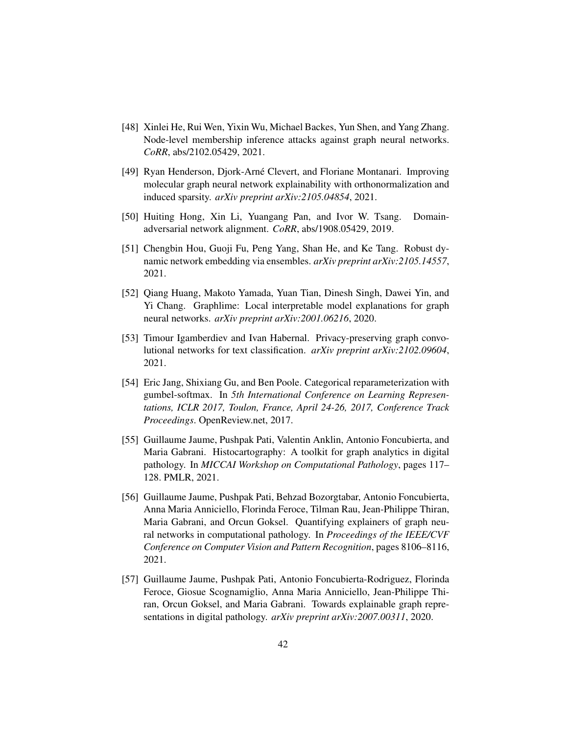- <span id="page-41-9"></span>[48] Xinlei He, Rui Wen, Yixin Wu, Michael Backes, Yun Shen, and Yang Zhang. Node-level membership inference attacks against graph neural networks. *CoRR*, abs/2102.05429, 2021.
- <span id="page-41-6"></span>[49] Ryan Henderson, Djork-Arné Clevert, and Floriane Montanari. Improving molecular graph neural network explainability with orthonormalization and induced sparsity. *arXiv preprint arXiv:2105.04854*, 2021.
- <span id="page-41-0"></span>[50] Huiting Hong, Xin Li, Yuangang Pan, and Ivor W. Tsang. Domainadversarial network alignment. *CoRR*, abs/1908.05429, 2019.
- <span id="page-41-2"></span>[51] Chengbin Hou, Guoji Fu, Peng Yang, Shan He, and Ke Tang. Robust dynamic network embedding via ensembles. *arXiv preprint arXiv:2105.14557*, 2021.
- <span id="page-41-4"></span>[52] Qiang Huang, Makoto Yamada, Yuan Tian, Dinesh Singh, Dawei Yin, and Yi Chang. Graphlime: Local interpretable model explanations for graph neural networks. *arXiv preprint arXiv:2001.06216*, 2020.
- <span id="page-41-8"></span>[53] Timour Igamberdiev and Ivan Habernal. Privacy-preserving graph convolutional networks for text classification. *arXiv preprint arXiv:2102.09604*, 2021.
- <span id="page-41-1"></span>[54] Eric Jang, Shixiang Gu, and Ben Poole. Categorical reparameterization with gumbel-softmax. In *5th International Conference on Learning Representations, ICLR 2017, Toulon, France, April 24-26, 2017, Conference Track Proceedings*. OpenReview.net, 2017.
- <span id="page-41-5"></span>[55] Guillaume Jaume, Pushpak Pati, Valentin Anklin, Antonio Foncubierta, and Maria Gabrani. Histocartography: A toolkit for graph analytics in digital pathology. In *MICCAI Workshop on Computational Pathology*, pages 117– 128. PMLR, 2021.
- <span id="page-41-3"></span>[56] Guillaume Jaume, Pushpak Pati, Behzad Bozorgtabar, Antonio Foncubierta, Anna Maria Anniciello, Florinda Feroce, Tilman Rau, Jean-Philippe Thiran, Maria Gabrani, and Orcun Goksel. Quantifying explainers of graph neural networks in computational pathology. In *Proceedings of the IEEE/CVF Conference on Computer Vision and Pattern Recognition*, pages 8106–8116, 2021.
- <span id="page-41-7"></span>[57] Guillaume Jaume, Pushpak Pati, Antonio Foncubierta-Rodriguez, Florinda Feroce, Giosue Scognamiglio, Anna Maria Anniciello, Jean-Philippe Thiran, Orcun Goksel, and Maria Gabrani. Towards explainable graph representations in digital pathology. *arXiv preprint arXiv:2007.00311*, 2020.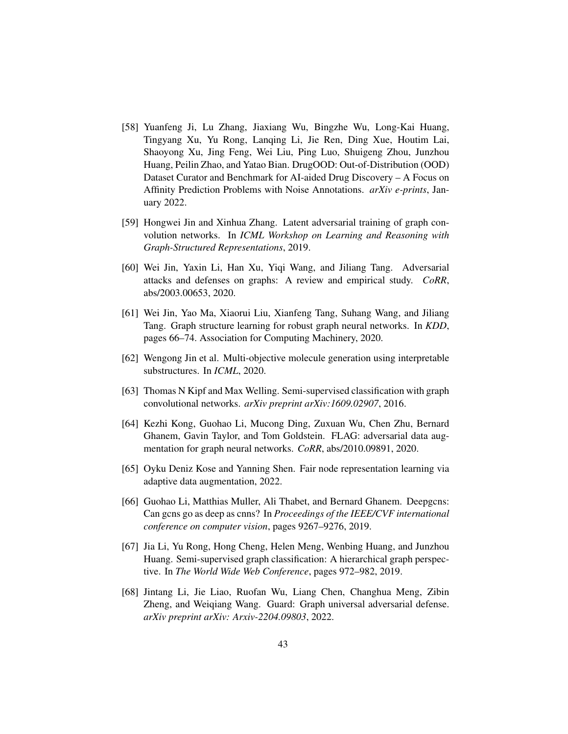- <span id="page-42-5"></span>[58] Yuanfeng Ji, Lu Zhang, Jiaxiang Wu, Bingzhe Wu, Long-Kai Huang, Tingyang Xu, Yu Rong, Lanqing Li, Jie Ren, Ding Xue, Houtim Lai, Shaoyong Xu, Jing Feng, Wei Liu, Ping Luo, Shuigeng Zhou, Junzhou Huang, Peilin Zhao, and Yatao Bian. DrugOOD: Out-of-Distribution (OOD) Dataset Curator and Benchmark for AI-aided Drug Discovery – A Focus on Affinity Prediction Problems with Noise Annotations. *arXiv e-prints*, January 2022.
- <span id="page-42-7"></span>[59] Hongwei Jin and Xinhua Zhang. Latent adversarial training of graph convolution networks. In *ICML Workshop on Learning and Reasoning with Graph-Structured Representations*, 2019.
- <span id="page-42-1"></span>[60] Wei Jin, Yaxin Li, Han Xu, Yiqi Wang, and Jiliang Tang. Adversarial attacks and defenses on graphs: A review and empirical study. *CoRR*, abs/2003.00653, 2020.
- <span id="page-42-4"></span>[61] Wei Jin, Yao Ma, Xiaorui Liu, Xianfeng Tang, Suhang Wang, and Jiliang Tang. Graph structure learning for robust graph neural networks. In *KDD*, pages 66–74. Association for Computing Machinery, 2020.
- <span id="page-42-10"></span>[62] Wengong Jin et al. Multi-objective molecule generation using interpretable substructures. In *ICML*, 2020.
- <span id="page-42-8"></span>[63] Thomas N Kipf and Max Welling. Semi-supervised classification with graph convolutional networks. *arXiv preprint arXiv:1609.02907*, 2016.
- <span id="page-42-3"></span>[64] Kezhi Kong, Guohao Li, Mucong Ding, Zuxuan Wu, Chen Zhu, Bernard Ghanem, Gavin Taylor, and Tom Goldstein. FLAG: adversarial data augmentation for graph neural networks. *CoRR*, abs/2010.09891, 2020.
- <span id="page-42-2"></span>[65] Oyku Deniz Kose and Yanning Shen. Fair node representation learning via adaptive data augmentation, 2022.
- <span id="page-42-9"></span>[66] Guohao Li, Matthias Muller, Ali Thabet, and Bernard Ghanem. Deepgcns: Can gcns go as deep as cnns? In *Proceedings of the IEEE/CVF international conference on computer vision*, pages 9267–9276, 2019.
- <span id="page-42-0"></span>[67] Jia Li, Yu Rong, Hong Cheng, Helen Meng, Wenbing Huang, and Junzhou Huang. Semi-supervised graph classification: A hierarchical graph perspective. In *The World Wide Web Conference*, pages 972–982, 2019.
- <span id="page-42-6"></span>[68] Jintang Li, Jie Liao, Ruofan Wu, Liang Chen, Changhua Meng, Zibin Zheng, and Weiqiang Wang. Guard: Graph universal adversarial defense. *arXiv preprint arXiv: Arxiv-2204.09803*, 2022.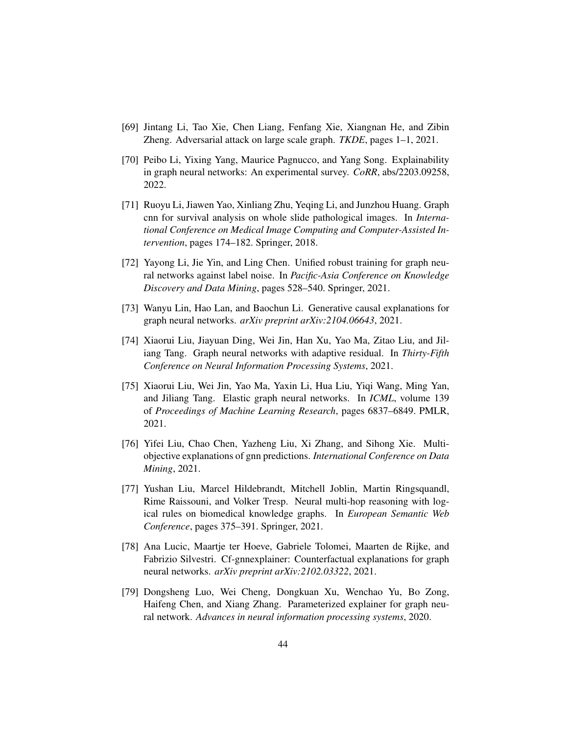- <span id="page-43-3"></span>[69] Jintang Li, Tao Xie, Chen Liang, Fenfang Xie, Xiangnan He, and Zibin Zheng. Adversarial attack on large scale graph. *TKDE*, pages 1–1, 2021.
- <span id="page-43-0"></span>[70] Peibo Li, Yixing Yang, Maurice Pagnucco, and Yang Song. Explainability in graph neural networks: An experimental survey. *CoRR*, abs/2203.09258, 2022.
- <span id="page-43-9"></span>[71] Ruoyu Li, Jiawen Yao, Xinliang Zhu, Yeqing Li, and Junzhou Huang. Graph cnn for survival analysis on whole slide pathological images. In *International Conference on Medical Image Computing and Computer-Assisted Intervention*, pages 174–182. Springer, 2018.
- <span id="page-43-1"></span>[72] Yayong Li, Jie Yin, and Ling Chen. Unified robust training for graph neural networks against label noise. In *Pacific-Asia Conference on Knowledge Discovery and Data Mining*, pages 528–540. Springer, 2021.
- <span id="page-43-6"></span>[73] Wanyu Lin, Hao Lan, and Baochun Li. Generative causal explanations for graph neural networks. *arXiv preprint arXiv:2104.06643*, 2021.
- <span id="page-43-4"></span>[74] Xiaorui Liu, Jiayuan Ding, Wei Jin, Han Xu, Yao Ma, Zitao Liu, and Jiliang Tang. Graph neural networks with adaptive residual. In *Thirty-Fifth Conference on Neural Information Processing Systems*, 2021.
- <span id="page-43-2"></span>[75] Xiaorui Liu, Wei Jin, Yao Ma, Yaxin Li, Hua Liu, Yiqi Wang, Ming Yan, and Jiliang Tang. Elastic graph neural networks. In *ICML*, volume 139 of *Proceedings of Machine Learning Research*, pages 6837–6849. PMLR, 2021.
- <span id="page-43-8"></span>[76] Yifei Liu, Chao Chen, Yazheng Liu, Xi Zhang, and Sihong Xie. Multiobjective explanations of gnn predictions. *International Conference on Data Mining*, 2021.
- <span id="page-43-10"></span>[77] Yushan Liu, Marcel Hildebrandt, Mitchell Joblin, Martin Ringsquandl, Rime Raissouni, and Volker Tresp. Neural multi-hop reasoning with logical rules on biomedical knowledge graphs. In *European Semantic Web Conference*, pages 375–391. Springer, 2021.
- <span id="page-43-7"></span>[78] Ana Lucic, Maartje ter Hoeve, Gabriele Tolomei, Maarten de Rijke, and Fabrizio Silvestri. Cf-gnnexplainer: Counterfactual explanations for graph neural networks. *arXiv preprint arXiv:2102.03322*, 2021.
- <span id="page-43-5"></span>[79] Dongsheng Luo, Wei Cheng, Dongkuan Xu, Wenchao Yu, Bo Zong, Haifeng Chen, and Xiang Zhang. Parameterized explainer for graph neural network. *Advances in neural information processing systems*, 2020.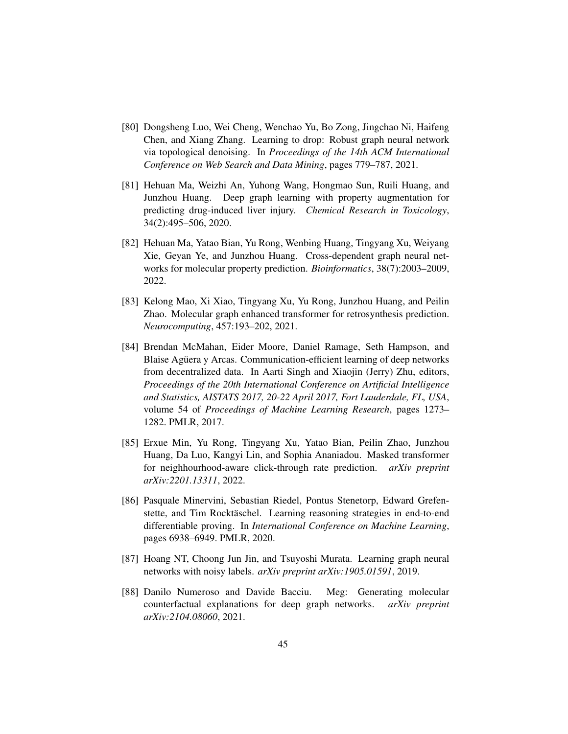- <span id="page-44-3"></span>[80] Dongsheng Luo, Wei Cheng, Wenchao Yu, Bo Zong, Jingchao Ni, Haifeng Chen, and Xiang Zhang. Learning to drop: Robust graph neural network via topological denoising. In *Proceedings of the 14th ACM International Conference on Web Search and Data Mining*, pages 779–787, 2021.
- <span id="page-44-6"></span>[81] Hehuan Ma, Weizhi An, Yuhong Wang, Hongmao Sun, Ruili Huang, and Junzhou Huang. Deep graph learning with property augmentation for predicting drug-induced liver injury. *Chemical Research in Toxicology*, 34(2):495–506, 2020.
- <span id="page-44-1"></span>[82] Hehuan Ma, Yatao Bian, Yu Rong, Wenbing Huang, Tingyang Xu, Weiyang Xie, Geyan Ye, and Junzhou Huang. Cross-dependent graph neural networks for molecular property prediction. *Bioinformatics*, 38(7):2003–2009, 2022.
- <span id="page-44-2"></span>[83] Kelong Mao, Xi Xiao, Tingyang Xu, Yu Rong, Junzhou Huang, and Peilin Zhao. Molecular graph enhanced transformer for retrosynthesis prediction. *Neurocomputing*, 457:193–202, 2021.
- <span id="page-44-8"></span>[84] Brendan McMahan, Eider Moore, Daniel Ramage, Seth Hampson, and Blaise Aguera y Arcas. Communication-efficient learning of deep networks from decentralized data. In Aarti Singh and Xiaojin (Jerry) Zhu, editors, *Proceedings of the 20th International Conference on Artificial Intelligence and Statistics, AISTATS 2017, 20-22 April 2017, Fort Lauderdale, FL, USA*, volume 54 of *Proceedings of Machine Learning Research*, pages 1273– 1282. PMLR, 2017.
- <span id="page-44-0"></span>[85] Erxue Min, Yu Rong, Tingyang Xu, Yatao Bian, Peilin Zhao, Junzhou Huang, Da Luo, Kangyi Lin, and Sophia Ananiadou. Masked transformer for neighhourhood-aware click-through rate prediction. *arXiv preprint arXiv:2201.13311*, 2022.
- <span id="page-44-7"></span>[86] Pasquale Minervini, Sebastian Riedel, Pontus Stenetorp, Edward Grefenstette, and Tim Rocktäschel. Learning reasoning strategies in end-to-end differentiable proving. In *International Conference on Machine Learning*, pages 6938–6949. PMLR, 2020.
- <span id="page-44-4"></span>[87] Hoang NT, Choong Jun Jin, and Tsuyoshi Murata. Learning graph neural networks with noisy labels. *arXiv preprint arXiv:1905.01591*, 2019.
- <span id="page-44-5"></span>[88] Danilo Numeroso and Davide Bacciu. Meg: Generating molecular counterfactual explanations for deep graph networks. *arXiv preprint arXiv:2104.08060*, 2021.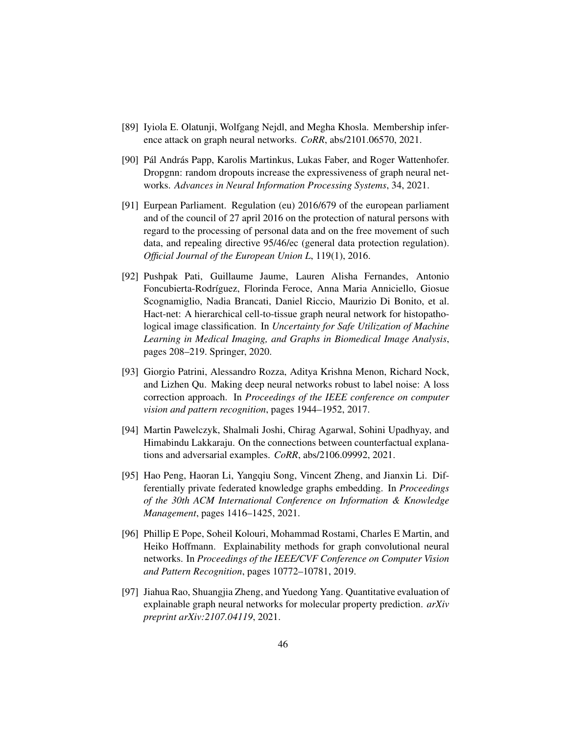- <span id="page-45-8"></span>[89] Iyiola E. Olatunji, Wolfgang Nejdl, and Megha Khosla. Membership inference attack on graph neural networks. *CoRR*, abs/2101.06570, 2021.
- <span id="page-45-2"></span>[90] Pál András Papp, Karolis Martinkus, Lukas Faber, and Roger Wattenhofer. Dropgnn: random dropouts increase the expressiveness of graph neural networks. *Advances in Neural Information Processing Systems*, 34, 2021.
- <span id="page-45-0"></span>[91] Eurpean Parliament. Regulation (eu) 2016/679 of the european parliament and of the council of 27 april 2016 on the protection of natural persons with regard to the processing of personal data and on the free movement of such data, and repealing directive 95/46/ec (general data protection regulation). *Official Journal of the European Union L*, 119(1), 2016.
- <span id="page-45-5"></span>[92] Pushpak Pati, Guillaume Jaume, Lauren Alisha Fernandes, Antonio Foncubierta-Rodríguez, Florinda Feroce, Anna Maria Anniciello, Giosue Scognamiglio, Nadia Brancati, Daniel Riccio, Maurizio Di Bonito, et al. Hact-net: A hierarchical cell-to-tissue graph neural network for histopathological image classification. In *Uncertainty for Safe Utilization of Machine Learning in Medical Imaging, and Graphs in Biomedical Image Analysis*, pages 208–219. Springer, 2020.
- <span id="page-45-1"></span>[93] Giorgio Patrini, Alessandro Rozza, Aditya Krishna Menon, Richard Nock, and Lizhen Qu. Making deep neural networks robust to label noise: A loss correction approach. In *Proceedings of the IEEE conference on computer vision and pattern recognition*, pages 1944–1952, 2017.
- <span id="page-45-3"></span>[94] Martin Pawelczyk, Shalmali Joshi, Chirag Agarwal, Sohini Upadhyay, and Himabindu Lakkaraju. On the connections between counterfactual explanations and adversarial examples. *CoRR*, abs/2106.09992, 2021.
- <span id="page-45-7"></span>[95] Hao Peng, Haoran Li, Yangqiu Song, Vincent Zheng, and Jianxin Li. Differentially private federated knowledge graphs embedding. In *Proceedings of the 30th ACM International Conference on Information & Knowledge Management*, pages 1416–1425, 2021.
- <span id="page-45-4"></span>[96] Phillip E Pope, Soheil Kolouri, Mohammad Rostami, Charles E Martin, and Heiko Hoffmann. Explainability methods for graph convolutional neural networks. In *Proceedings of the IEEE/CVF Conference on Computer Vision and Pattern Recognition*, pages 10772–10781, 2019.
- <span id="page-45-6"></span>[97] Jiahua Rao, Shuangjia Zheng, and Yuedong Yang. Quantitative evaluation of explainable graph neural networks for molecular property prediction. *arXiv preprint arXiv:2107.04119*, 2021.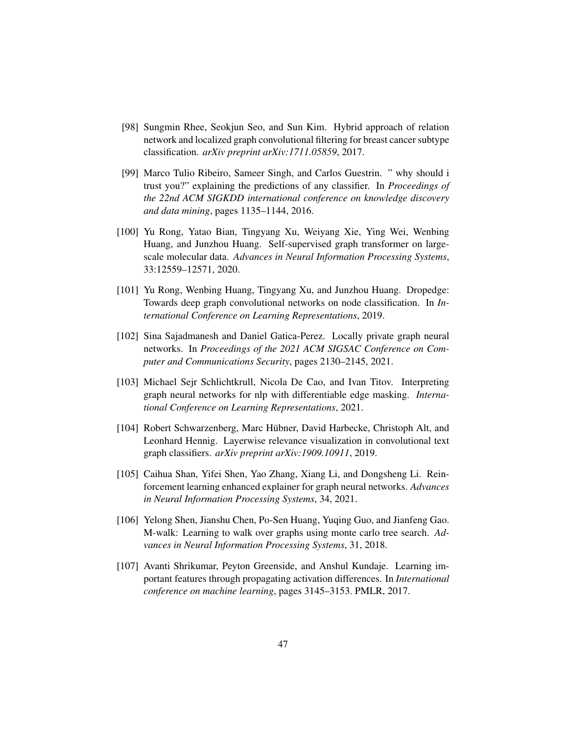- <span id="page-46-7"></span>[98] Sungmin Rhee, Seokjun Seo, and Sun Kim. Hybrid approach of relation network and localized graph convolutional filtering for breast cancer subtype classification. *arXiv preprint arXiv:1711.05859*, 2017.
- <span id="page-46-4"></span>[99] Marco Tulio Ribeiro, Sameer Singh, and Carlos Guestrin. " why should i trust you?" explaining the predictions of any classifier. In *Proceedings of the 22nd ACM SIGKDD international conference on knowledge discovery and data mining*, pages 1135–1144, 2016.
- <span id="page-46-0"></span>[100] Yu Rong, Yatao Bian, Tingyang Xu, Weiyang Xie, Ying Wei, Wenbing Huang, and Junzhou Huang. Self-supervised graph transformer on largescale molecular data. *Advances in Neural Information Processing Systems*, 33:12559–12571, 2020.
- <span id="page-46-1"></span>[101] Yu Rong, Wenbing Huang, Tingyang Xu, and Junzhou Huang. Dropedge: Towards deep graph convolutional networks on node classification. In *International Conference on Learning Representations*, 2019.
- <span id="page-46-9"></span>[102] Sina Sajadmanesh and Daniel Gatica-Perez. Locally private graph neural networks. In *Proceedings of the 2021 ACM SIGSAC Conference on Computer and Communications Security*, pages 2130–2145, 2021.
- <span id="page-46-6"></span>[103] Michael Sejr Schlichtkrull, Nicola De Cao, and Ivan Titov. Interpreting graph neural networks for nlp with differentiable edge masking. *International Conference on Learning Representations*, 2021.
- <span id="page-46-2"></span>[104] Robert Schwarzenberg, Marc Hübner, David Harbecke, Christoph Alt, and Leonhard Hennig. Layerwise relevance visualization in convolutional text graph classifiers. *arXiv preprint arXiv:1909.10911*, 2019.
- <span id="page-46-5"></span>[105] Caihua Shan, Yifei Shen, Yao Zhang, Xiang Li, and Dongsheng Li. Reinforcement learning enhanced explainer for graph neural networks. *Advances in Neural Information Processing Systems*, 34, 2021.
- <span id="page-46-8"></span>[106] Yelong Shen, Jianshu Chen, Po-Sen Huang, Yuqing Guo, and Jianfeng Gao. M-walk: Learning to walk over graphs using monte carlo tree search. *Advances in Neural Information Processing Systems*, 31, 2018.
- <span id="page-46-3"></span>[107] Avanti Shrikumar, Peyton Greenside, and Anshul Kundaje. Learning important features through propagating activation differences. In *International conference on machine learning*, pages 3145–3153. PMLR, 2017.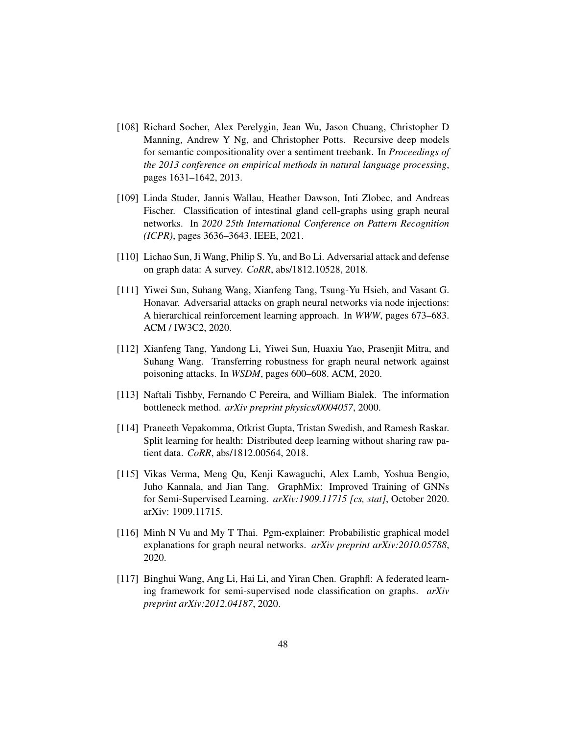- <span id="page-47-6"></span>[108] Richard Socher, Alex Perelygin, Jean Wu, Jason Chuang, Christopher D Manning, Andrew Y Ng, and Christopher Potts. Recursive deep models for semantic compositionality over a sentiment treebank. In *Proceedings of the 2013 conference on empirical methods in natural language processing*, pages 1631–1642, 2013.
- <span id="page-47-7"></span>[109] Linda Studer, Jannis Wallau, Heather Dawson, Inti Zlobec, and Andreas Fischer. Classification of intestinal gland cell-graphs using graph neural networks. In *2020 25th International Conference on Pattern Recognition (ICPR)*, pages 3636–3643. IEEE, 2021.
- <span id="page-47-0"></span>[110] Lichao Sun, Ji Wang, Philip S. Yu, and Bo Li. Adversarial attack and defense on graph data: A survey. *CoRR*, abs/1812.10528, 2018.
- <span id="page-47-3"></span>[111] Yiwei Sun, Suhang Wang, Xianfeng Tang, Tsung-Yu Hsieh, and Vasant G. Honavar. Adversarial attacks on graph neural networks via node injections: A hierarchical reinforcement learning approach. In *WWW*, pages 673–683. ACM / IW3C2, 2020.
- <span id="page-47-2"></span>[112] Xianfeng Tang, Yandong Li, Yiwei Sun, Huaxiu Yao, Prasenjit Mitra, and Suhang Wang. Transferring robustness for graph neural network against poisoning attacks. In *WSDM*, pages 600–608. ACM, 2020.
- <span id="page-47-5"></span>[113] Naftali Tishby, Fernando C Pereira, and William Bialek. The information bottleneck method. *arXiv preprint physics/0004057*, 2000.
- <span id="page-47-9"></span>[114] Praneeth Vepakomma, Otkrist Gupta, Tristan Swedish, and Ramesh Raskar. Split learning for health: Distributed deep learning without sharing raw patient data. *CoRR*, abs/1812.00564, 2018.
- <span id="page-47-1"></span>[115] Vikas Verma, Meng Qu, Kenji Kawaguchi, Alex Lamb, Yoshua Bengio, Juho Kannala, and Jian Tang. GraphMix: Improved Training of GNNs for Semi-Supervised Learning. *arXiv:1909.11715 [cs, stat]*, October 2020. arXiv: 1909.11715.
- <span id="page-47-4"></span>[116] Minh N Vu and My T Thai. Pgm-explainer: Probabilistic graphical model explanations for graph neural networks. *arXiv preprint arXiv:2010.05788*, 2020.
- <span id="page-47-8"></span>[117] Binghui Wang, Ang Li, Hai Li, and Yiran Chen. Graphfl: A federated learning framework for semi-supervised node classification on graphs. *arXiv preprint arXiv:2012.04187*, 2020.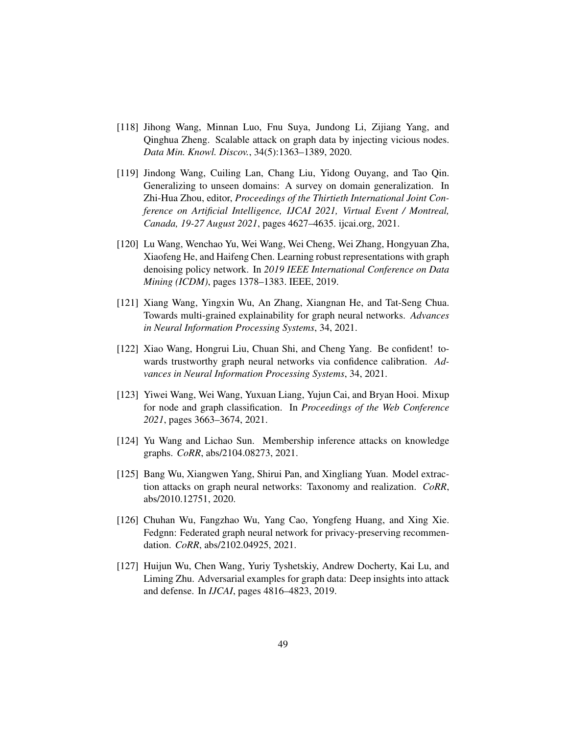- <span id="page-48-6"></span>[118] Jihong Wang, Minnan Luo, Fnu Suya, Jundong Li, Zijiang Yang, and Qinghua Zheng. Scalable attack on graph data by injecting vicious nodes. *Data Min. Knowl. Discov.*, 34(5):1363–1389, 2020.
- <span id="page-48-5"></span>[119] Jindong Wang, Cuiling Lan, Chang Liu, Yidong Ouyang, and Tao Qin. Generalizing to unseen domains: A survey on domain generalization. In Zhi-Hua Zhou, editor, *Proceedings of the Thirtieth International Joint Conference on Artificial Intelligence, IJCAI 2021, Virtual Event / Montreal, Canada, 19-27 August 2021*, pages 4627–4635. ijcai.org, 2021.
- <span id="page-48-3"></span>[120] Lu Wang, Wenchao Yu, Wei Wang, Wei Cheng, Wei Zhang, Hongyuan Zha, Xiaofeng He, and Haifeng Chen. Learning robust representations with graph denoising policy network. In *2019 IEEE International Conference on Data Mining (ICDM)*, pages 1378–1383. IEEE, 2019.
- <span id="page-48-7"></span>[121] Xiang Wang, Yingxin Wu, An Zhang, Xiangnan He, and Tat-Seng Chua. Towards multi-grained explainability for graph neural networks. *Advances in Neural Information Processing Systems*, 34, 2021.
- <span id="page-48-1"></span>[122] Xiao Wang, Hongrui Liu, Chuan Shi, and Cheng Yang. Be confident! towards trustworthy graph neural networks via confidence calibration. *Advances in Neural Information Processing Systems*, 34, 2021.
- <span id="page-48-4"></span>[123] Yiwei Wang, Wei Wang, Yuxuan Liang, Yujun Cai, and Bryan Hooi. Mixup for node and graph classification. In *Proceedings of the Web Conference 2021*, pages 3663–3674, 2021.
- <span id="page-48-8"></span>[124] Yu Wang and Lichao Sun. Membership inference attacks on knowledge graphs. *CoRR*, abs/2104.08273, 2021.
- <span id="page-48-9"></span>[125] Bang Wu, Xiangwen Yang, Shirui Pan, and Xingliang Yuan. Model extraction attacks on graph neural networks: Taxonomy and realization. *CoRR*, abs/2010.12751, 2020.
- <span id="page-48-0"></span>[126] Chuhan Wu, Fangzhao Wu, Yang Cao, Yongfeng Huang, and Xing Xie. Fedgnn: Federated graph neural network for privacy-preserving recommendation. *CoRR*, abs/2102.04925, 2021.
- <span id="page-48-2"></span>[127] Huijun Wu, Chen Wang, Yuriy Tyshetskiy, Andrew Docherty, Kai Lu, and Liming Zhu. Adversarial examples for graph data: Deep insights into attack and defense. In *IJCAI*, pages 4816–4823, 2019.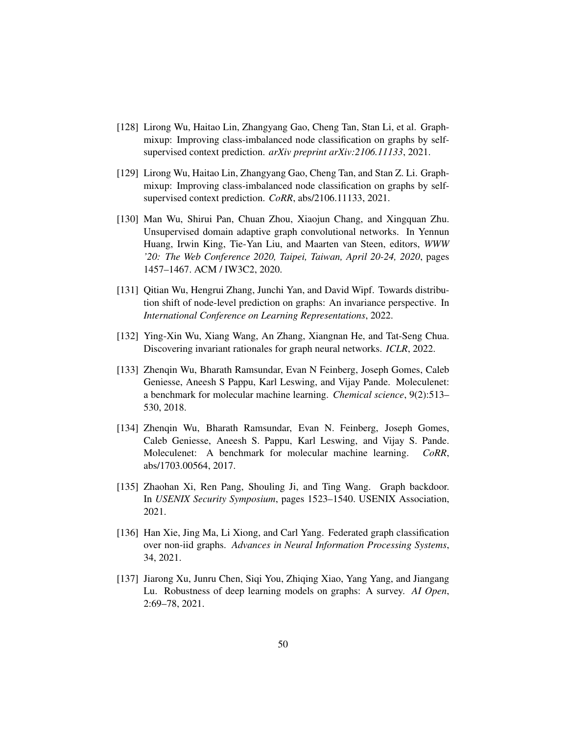- <span id="page-49-6"></span>[128] Lirong Wu, Haitao Lin, Zhangyang Gao, Cheng Tan, Stan Li, et al. Graphmixup: Improving class-imbalanced node classification on graphs by selfsupervised context prediction. *arXiv preprint arXiv:2106.11133*, 2021.
- <span id="page-49-3"></span>[129] Lirong Wu, Haitao Lin, Zhangyang Gao, Cheng Tan, and Stan Z. Li. Graphmixup: Improving class-imbalanced node classification on graphs by selfsupervised context prediction. *CoRR*, abs/2106.11133, 2021.
- <span id="page-49-4"></span>[130] Man Wu, Shirui Pan, Chuan Zhou, Xiaojun Chang, and Xingquan Zhu. Unsupervised domain adaptive graph convolutional networks. In Yennun Huang, Irwin King, Tie-Yan Liu, and Maarten van Steen, editors, *WWW '20: The Web Conference 2020, Taipei, Taiwan, April 20-24, 2020*, pages 1457–1467. ACM / IW3C2, 2020.
- <span id="page-49-2"></span>[131] Qitian Wu, Hengrui Zhang, Junchi Yan, and David Wipf. Towards distribution shift of node-level prediction on graphs: An invariance perspective. In *International Conference on Learning Representations*, 2022.
- <span id="page-49-7"></span>[132] Ying-Xin Wu, Xiang Wang, An Zhang, Xiangnan He, and Tat-Seng Chua. Discovering invariant rationales for graph neural networks. *ICLR*, 2022.
- <span id="page-49-8"></span>[133] Zhenqin Wu, Bharath Ramsundar, Evan N Feinberg, Joseph Gomes, Caleb Geniesse, Aneesh S Pappu, Karl Leswing, and Vijay Pande. Moleculenet: a benchmark for molecular machine learning. *Chemical science*, 9(2):513– 530, 2018.
- <span id="page-49-0"></span>[134] Zhenqin Wu, Bharath Ramsundar, Evan N. Feinberg, Joseph Gomes, Caleb Geniesse, Aneesh S. Pappu, Karl Leswing, and Vijay S. Pande. Moleculenet: A benchmark for molecular machine learning. *CoRR*, abs/1703.00564, 2017.
- <span id="page-49-5"></span>[135] Zhaohan Xi, Ren Pang, Shouling Ji, and Ting Wang. Graph backdoor. In *USENIX Security Symposium*, pages 1523–1540. USENIX Association, 2021.
- <span id="page-49-9"></span>[136] Han Xie, Jing Ma, Li Xiong, and Carl Yang. Federated graph classification over non-iid graphs. *Advances in Neural Information Processing Systems*, 34, 2021.
- <span id="page-49-1"></span>[137] Jiarong Xu, Junru Chen, Siqi You, Zhiqing Xiao, Yang Yang, and Jiangang Lu. Robustness of deep learning models on graphs: A survey. *AI Open*, 2:69–78, 2021.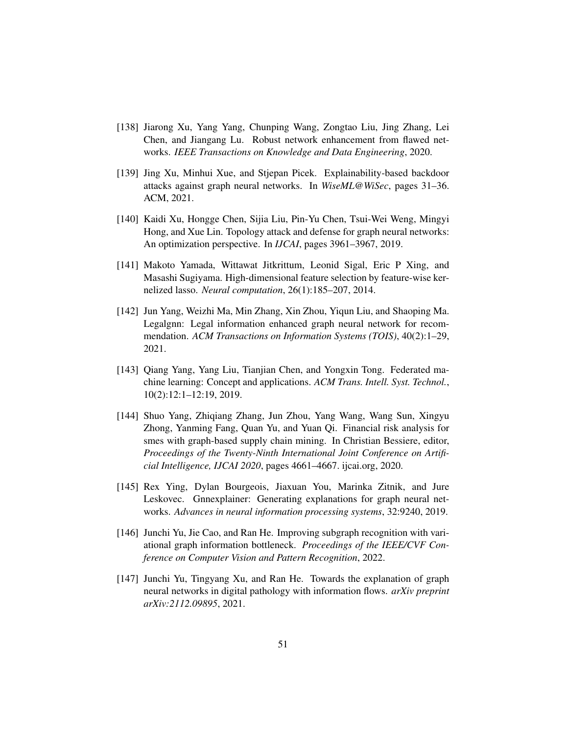- <span id="page-50-2"></span>[138] Jiarong Xu, Yang Yang, Chunping Wang, Zongtao Liu, Jing Zhang, Lei Chen, and Jiangang Lu. Robust network enhancement from flawed networks. *IEEE Transactions on Knowledge and Data Engineering*, 2020.
- <span id="page-50-3"></span>[139] Jing Xu, Minhui Xue, and Stjepan Picek. Explainability-based backdoor attacks against graph neural networks. In *WiseML@WiSec*, pages 31–36. ACM, 2021.
- <span id="page-50-1"></span>[140] Kaidi Xu, Hongge Chen, Sijia Liu, Pin-Yu Chen, Tsui-Wei Weng, Mingyi Hong, and Xue Lin. Topology attack and defense for graph neural networks: An optimization perspective. In *IJCAI*, pages 3961–3967, 2019.
- <span id="page-50-7"></span>[141] Makoto Yamada, Wittawat Jitkrittum, Leonid Sigal, Eric P Xing, and Masashi Sugiyama. High-dimensional feature selection by feature-wise kernelized lasso. *Neural computation*, 26(1):185–207, 2014.
- <span id="page-50-6"></span>[142] Jun Yang, Weizhi Ma, Min Zhang, Xin Zhou, Yiqun Liu, and Shaoping Ma. Legalgnn: Legal information enhanced graph neural network for recommendation. *ACM Transactions on Information Systems (TOIS)*, 40(2):1–29, 2021.
- <span id="page-50-9"></span>[143] Qiang Yang, Yang Liu, Tianjian Chen, and Yongxin Tong. Federated machine learning: Concept and applications. *ACM Trans. Intell. Syst. Technol.*, 10(2):12:1–12:19, 2019.
- <span id="page-50-0"></span>[144] Shuo Yang, Zhiqiang Zhang, Jun Zhou, Yang Wang, Wang Sun, Xingyu Zhong, Yanming Fang, Quan Yu, and Yuan Qi. Financial risk analysis for smes with graph-based supply chain mining. In Christian Bessiere, editor, *Proceedings of the Twenty-Ninth International Joint Conference on Artificial Intelligence, IJCAI 2020*, pages 4661–4667. ijcai.org, 2020.
- <span id="page-50-4"></span>[145] Rex Ying, Dylan Bourgeois, Jiaxuan You, Marinka Zitnik, and Jure Leskovec. Gnnexplainer: Generating explanations for graph neural networks. *Advances in neural information processing systems*, 32:9240, 2019.
- <span id="page-50-8"></span>[146] Junchi Yu, Jie Cao, and Ran He. Improving subgraph recognition with variational graph information bottleneck. *Proceedings of the IEEE/CVF Conference on Computer Vision and Pattern Recognition*, 2022.
- <span id="page-50-5"></span>[147] Junchi Yu, Tingyang Xu, and Ran He. Towards the explanation of graph neural networks in digital pathology with information flows. *arXiv preprint arXiv:2112.09895*, 2021.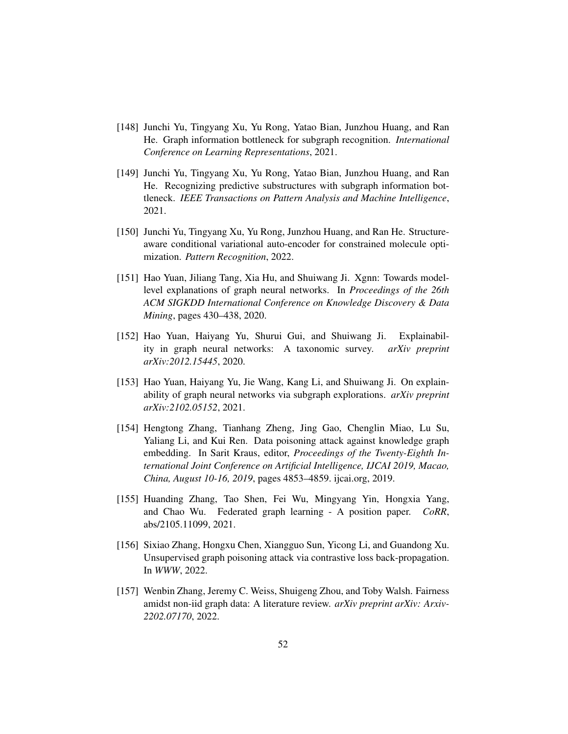- <span id="page-51-5"></span>[148] Junchi Yu, Tingyang Xu, Yu Rong, Yatao Bian, Junzhou Huang, and Ran He. Graph information bottleneck for subgraph recognition. *International Conference on Learning Representations*, 2021.
- <span id="page-51-8"></span>[149] Junchi Yu, Tingyang Xu, Yu Rong, Yatao Bian, Junzhou Huang, and Ran He. Recognizing predictive substructures with subgraph information bottleneck. *IEEE Transactions on Pattern Analysis and Machine Intelligence*, 2021.
- <span id="page-51-4"></span>[150] Junchi Yu, Tingyang Xu, Yu Rong, Junzhou Huang, and Ran He. Structureaware conditional variational auto-encoder for constrained molecule optimization. *Pattern Recognition*, 2022.
- <span id="page-51-7"></span>[151] Hao Yuan, Jiliang Tang, Xia Hu, and Shuiwang Ji. Xgnn: Towards modellevel explanations of graph neural networks. In *Proceedings of the 26th ACM SIGKDD International Conference on Knowledge Discovery & Data Mining*, pages 430–438, 2020.
- <span id="page-51-1"></span>[152] Hao Yuan, Haiyang Yu, Shurui Gui, and Shuiwang Ji. Explainability in graph neural networks: A taxonomic survey. *arXiv preprint arXiv:2012.15445*, 2020.
- <span id="page-51-6"></span>[153] Hao Yuan, Haiyang Yu, Jie Wang, Kang Li, and Shuiwang Ji. On explainability of graph neural networks via subgraph explorations. *arXiv preprint arXiv:2102.05152*, 2021.
- <span id="page-51-3"></span>[154] Hengtong Zhang, Tianhang Zheng, Jing Gao, Chenglin Miao, Lu Su, Yaliang Li, and Kui Ren. Data poisoning attack against knowledge graph embedding. In Sarit Kraus, editor, *Proceedings of the Twenty-Eighth International Joint Conference on Artificial Intelligence, IJCAI 2019, Macao, China, August 10-16, 2019*, pages 4853–4859. ijcai.org, 2019.
- <span id="page-51-9"></span>[155] Huanding Zhang, Tao Shen, Fei Wu, Mingyang Yin, Hongxia Yang, and Chao Wu. Federated graph learning - A position paper. *CoRR*, abs/2105.11099, 2021.
- <span id="page-51-2"></span>[156] Sixiao Zhang, Hongxu Chen, Xiangguo Sun, Yicong Li, and Guandong Xu. Unsupervised graph poisoning attack via contrastive loss back-propagation. In *WWW*, 2022.
- <span id="page-51-0"></span>[157] Wenbin Zhang, Jeremy C. Weiss, Shuigeng Zhou, and Toby Walsh. Fairness amidst non-iid graph data: A literature review. *arXiv preprint arXiv: Arxiv-2202.07170*, 2022.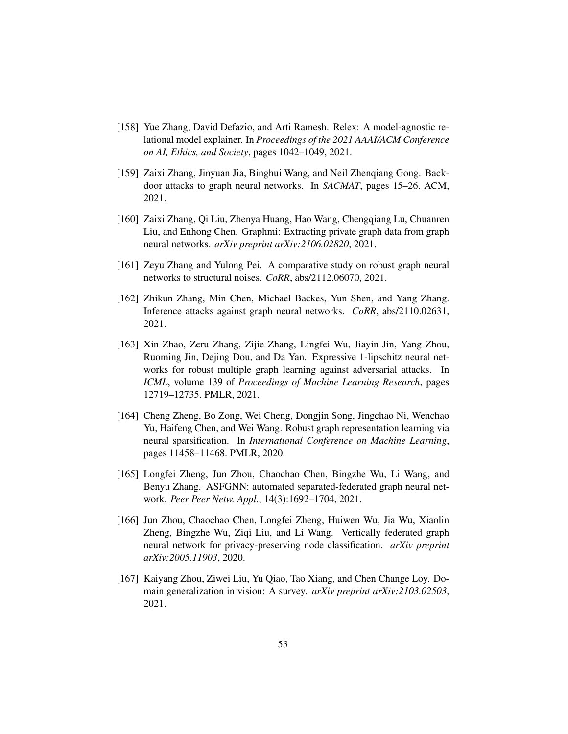- <span id="page-52-5"></span>[158] Yue Zhang, David Defazio, and Arti Ramesh. Relex: A model-agnostic relational model explainer. In *Proceedings of the 2021 AAAI/ACM Conference on AI, Ethics, and Society*, pages 1042–1049, 2021.
- <span id="page-52-3"></span>[159] Zaixi Zhang, Jinyuan Jia, Binghui Wang, and Neil Zhenqiang Gong. Backdoor attacks to graph neural networks. In *SACMAT*, pages 15–26. ACM, 2021.
- <span id="page-52-9"></span>[160] Zaixi Zhang, Qi Liu, Zhenya Huang, Hao Wang, Chengqiang Lu, Chuanren Liu, and Enhong Chen. Graphmi: Extracting private graph data from graph neural networks. *arXiv preprint arXiv:2106.02820*, 2021.
- <span id="page-52-0"></span>[161] Zeyu Zhang and Yulong Pei. A comparative study on robust graph neural networks to structural noises. *CoRR*, abs/2112.06070, 2021.
- <span id="page-52-8"></span>[162] Zhikun Zhang, Min Chen, Michael Backes, Yun Shen, and Yang Zhang. Inference attacks against graph neural networks. *CoRR*, abs/2110.02631, 2021.
- <span id="page-52-4"></span>[163] Xin Zhao, Zeru Zhang, Zijie Zhang, Lingfei Wu, Jiayin Jin, Yang Zhou, Ruoming Jin, Dejing Dou, and Da Yan. Expressive 1-lipschitz neural networks for robust multiple graph learning against adversarial attacks. In *ICML*, volume 139 of *Proceedings of Machine Learning Research*, pages 12719–12735. PMLR, 2021.
- <span id="page-52-1"></span>[164] Cheng Zheng, Bo Zong, Wei Cheng, Dongjin Song, Jingchao Ni, Wenchao Yu, Haifeng Chen, and Wei Wang. Robust graph representation learning via neural sparsification. In *International Conference on Machine Learning*, pages 11458–11468. PMLR, 2020.
- <span id="page-52-6"></span>[165] Longfei Zheng, Jun Zhou, Chaochao Chen, Bingzhe Wu, Li Wang, and Benyu Zhang. ASFGNN: automated separated-federated graph neural network. *Peer Peer Netw. Appl.*, 14(3):1692–1704, 2021.
- <span id="page-52-7"></span>[166] Jun Zhou, Chaochao Chen, Longfei Zheng, Huiwen Wu, Jia Wu, Xiaolin Zheng, Bingzhe Wu, Ziqi Liu, and Li Wang. Vertically federated graph neural network for privacy-preserving node classification. *arXiv preprint arXiv:2005.11903*, 2020.
- <span id="page-52-2"></span>[167] Kaiyang Zhou, Ziwei Liu, Yu Qiao, Tao Xiang, and Chen Change Loy. Domain generalization in vision: A survey. *arXiv preprint arXiv:2103.02503*, 2021.